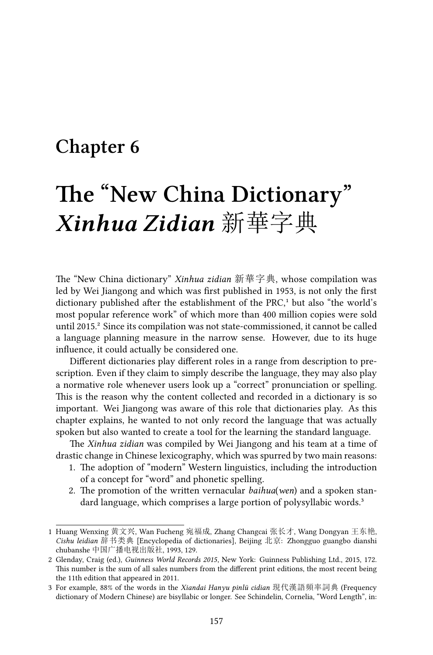# **Chapter 6**

# **The "New China Dictionary"** *Xinhua Zidian* 新華字典

The "New China dictionary" *Xinhua zidian* 新華字典, whose compilation was led by Wei Jiangong and which was first published in 1953, is not only the first dictionary published after the establishment of the PRC,<sup>1</sup> but also "the world's most popular reference work" of which more than 400 million copies were sold until 2015.² Since its compilation was not state-commissioned, it cannot be called a language planning measure in the narrow sense. However, due to its huge influence, it could actually be considered one.

Different dictionaries play different roles in a range from description to prescription. Even if they claim to simply describe the language, they may also play a normative role whenever users look up a "correct" pronunciation or spelling. This is the reason why the content collected and recorded in a dictionary is so important. Wei Jiangong was aware of this role that dictionaries play. As this chapter explains, he wanted to not only record the language that was actually spoken but also wanted to create a tool for the learning the standard language.

The *Xinhua zidian* was compiled by Wei Jiangong and his team at a time of drastic change in Chinese lexicography, which was spurred by two main reasons:

- 1. The adoption of "modern" Western linguistics, including the introduction of a concept for "word" and phonetic spelling.
- 2. The promotion of the written vernacular *baihua*(*wen*) and a spoken standard language, which comprises a large portion of polysyllabic words.<sup>3</sup>

<sup>1</sup> Huang Wenxing 黄文兴, Wan Fucheng 宛福成, Zhang Changcai 张长才, Wang Dongyan 王东艳, *Cishu leidian* 辞书类典 [Encyclopedia of dictionaries], Beijing 北京: Zhongguo guangbo dianshi chubanshe 中国广播电视出版社, 1993, 129.

<sup>2</sup> Glenday, Craig (ed.), *Guinness World Records 2015*, New York: Guinness Publishing Ltd., 2015, 172. This number is the sum of all sales numbers from the different print editions, the most recent being the 11th edition that appeared in 2011.

<sup>3</sup> For example, 88% of the words in the *Xiandai Hanyu pinlü cidian* 現代漢語頻率詞典 (Frequency dictionary of Modern Chinese) are bisyllabic or longer. See Schindelin, Cornelia, "Word Length", in: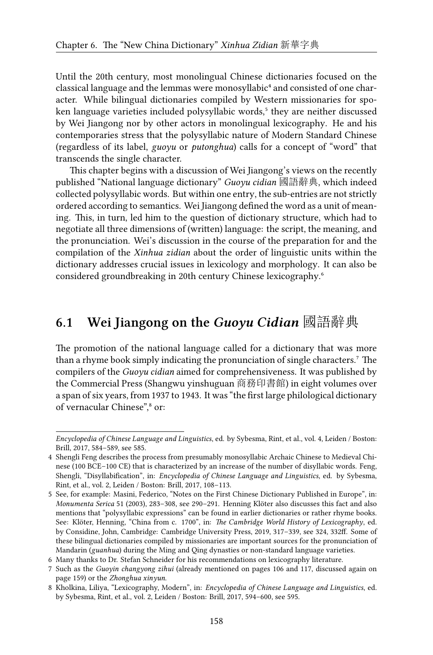Until the 20th century, most monolingual Chinese dictionaries focused on the classical language and the lemmas were monosyllabic<sup>4</sup> and consisted of one character. While bilingual dictionaries compiled by Western missionaries for spoken language varieties included polysyllabic words,<sup>5</sup> they are neither discussed by Wei Jiangong nor by other actors in monolingual lexicography. He and his contemporaries stress that the polysyllabic nature of Modern Standard Chinese (regardless of its label, *guoyu* or *putonghua*) calls for a concept of "word" that transcends the single character.

This chapter begins with a discussion of Wei Jiangong's views on the recently published "National language dictionary" *Guoyu cidian* 國語辭典, which indeed collected polysyllabic words. But within one entry, the sub-entries are not strictly ordered according to semantics. Wei Jiangong defined the word as a unit of meaning. This, in turn, led him to the question of dictionary structure, which had to negotiate all three dimensions of (written) language: the script, the meaning, and the pronunciation. Wei's discussion in the course of the preparation for and the compilation of the *Xinhua zidian* about the order of linguistic units within the dictionary addresses crucial issues in lexicology and morphology. It can also be considered groundbreaking in 20th century Chinese lexicography.<sup>6</sup>

# **6.1 Wei Jiangong on the** *Guoyu Cidian* 國語辭典

The promotion of the national language called for a dictionary that was more than a rhyme book simply indicating the pronunciation of single characters.<sup>7</sup> The compilers of the *Guoyu cidian* aimed for comprehensiveness. It was published by the Commercial Press (Shangwu yinshuguan 商務印書館) in eight volumes over a span of six years, from 1937 to 1943. It was "the first large philological dictionary of vernacular Chinese",<sup>8</sup> or:

*Encyclopedia of Chinese Language and Linguistics*, ed. by Sybesma, Rint, et al., vol. 4, Leiden / Boston: Brill, 2017, 584–589, see 585.

<sup>4</sup> Shengli Feng describes the process from presumably monosyllabic Archaic Chinese to Medieval Chinese (100 BCE–100 CE) that is characterized by an increase of the number of disyllabic words. Feng, Shengli, "Disyllabification", in: *Encyclopedia of Chinese Language and Linguistics*, ed. by Sybesma, Rint, et al., vol. 2, Leiden / Boston: Brill, 2017, 108–113.

<sup>5</sup> See, for example: Masini, Federico, "Notes on the First Chinese Dictionary Published in Europe", in: *Monumenta Serica* 51 (2003), 283–308, see 290–291. Henning Klöter also discusses this fact and also mentions that "polysyllabic expressions" can be found in earlier dictionaries or rather rhyme books. See: Klöter, Henning, "China from c. 1700", in: *The Cambridge World History of Lexicography*, ed. by Considine, John, Cambridge: Cambridge University Press, 2019, 317–339, see 324, 332ff. Some of these bilingual dictionaries compiled by missionaries are important sources for the pronunciation of Mandarin (*guanhua*) during the Ming and Qing dynasties or non-standard language varieties.

<sup>6</sup> Many thanks to Dr. Stefan Schneider for his recommendations on lexicography literature.

<sup>7</sup> Such as the *Guoyin changyong zihui* (already mentioned on pages 106 and 117, discussed again on page 159) or the *Zhonghua xinyun*.

<sup>8</sup> Kholkina, Liliya, "Lexicography, Modern", in: *Encyclopedia of Chinese Language and Linguistics*, ed. by Sybesma, Rint, et al., vol. 2, Leiden / Boston: Brill, 2017, 594–600, see 595.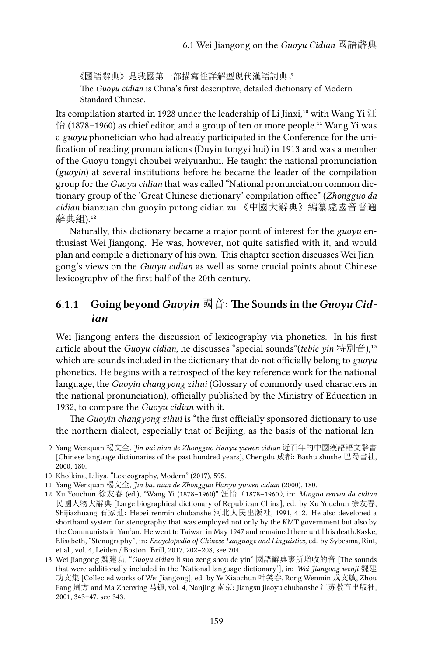《國語辭典》是我國第一部描寫性詳解型現代漢語詞典。 The *Guoyu cidian* is China's first descriptive, detailed dictionary of Modern Standard Chinese.

Its compilation started in 1928 under the leadership of Li Jinxi,<sup>10</sup> with Wang Yi  $\mathbb H$  $\hat{E}$  (1878–1960) as chief editor, and a group of ten or more people.<sup>11</sup> Wang Yi was a *guoyu* phonetician who had already participated in the Conference for the unification of reading pronunciations (Duyin tongyi hui) in 1913 and was a member of the Guoyu tongyi choubei weiyuanhui. He taught the national pronunciation (*guoyin*) at several institutions before he became the leader of the compilation group for the *Guoyu cidian* that was called "National pronunciation common dictionary group of the 'Great Chinese dictionary' compilation office" (*Zhongguo da cidian* bianzuan chu guoyin putong cidian zu 《中國大辭典》編纂處國音普通 辭典組).12

Naturally, this dictionary became a major point of interest for the *guoyu* enthusiast Wei Jiangong. He was, however, not quite satisfied with it, and would plan and compile a dictionary of his own. This chapter section discusses Wei Jiangong's views on the *Guoyu cidian* as well as some crucial points about Chinese lexicography of the first half of the 20th century.

# **6.1.1 Going beyond***Guoyin* 國音**: The Sounds in the***Guoyu Cidian*

Wei Jiangong enters the discussion of lexicography via phonetics. In his first article about the *Guoyu cidian*, he discusses "special sounds"(*tebie yin* 特別音),<sup>13</sup> which are sounds included in the dictionary that do not officially belong to *guoyu* phonetics. He begins with a retrospect of the key reference work for the national language, the *Guoyin changyong zihui* (Glossary of commonly used characters in the national pronunciation), officially published by the Ministry of Education in 1932, to compare the *Guoyu cidian* with it.

The *Guoyin changyong zihui* is "the first officially sponsored dictionary to use the northern dialect, especially that of Beijing, as the basis of the national lan-

<sup>9</sup> Yang Wenquan 楊文全, *Jin bai nian de Zhongguo Hanyu yuwen cidian* 近百年的中國漢語語文辭書 [Chinese language dictionaries of the past hundred years], Chengdu 成都: Bashu shushe 巴蜀書社, 2000, 180.

<sup>10</sup> Kholkina, Liliya, "Lexicography, Modern" (2017), 595.

<sup>11</sup> Yang Wenquan 楊文全, *Jin bai nian de Zhongguo Hanyu yuwen cidian* (2000), 180.

<sup>12</sup> Xu Youchun 徐友春 (ed.), "Wang Yi (1878–1960)" 汪怡(1878–1960), in: *Minguo renwu da cidian* 民國人物大辭典 [Large biographical dictionary of Republican China], ed. by Xu Youchun 徐友春, Shijiazhuang 石家莊: Hebei renmin chubanshe 河北人民出版社, 1991, 412. He also developed a shorthand system for stenography that was employed not only by the KMT government but also by the Communists in Yan'an. He went to Taiwan in May 1947 and remained there until his death.Kaske, Elisabeth, "Stenography", in: *Encyclopedia of Chinese Language and Linguistics*, ed. by Sybesma, Rint, et al., vol. 4, Leiden / Boston: Brill, 2017, 202–208, see 204.

<sup>13</sup> Wei Jiangong 魏建功, "*Guoyu cidian* li suo zeng shou de yin" 國語辭典裏所增收的音 [The sounds that were additionally included in the 'National language dictionary'], in: *Wei Jiangong wenji* 魏建 功文集 [Collected works of Wei Jiangong], ed. by Ye Xiaochun 叶笑春, Rong Wenmin 戎文敏, Zhou Fang 周方 and Ma Zhenxing 马镇, vol. 4, Nanjing 南京: Jiangsu jiaoyu chubanshe 江苏教育出版社, 2001, 343–47, see 343.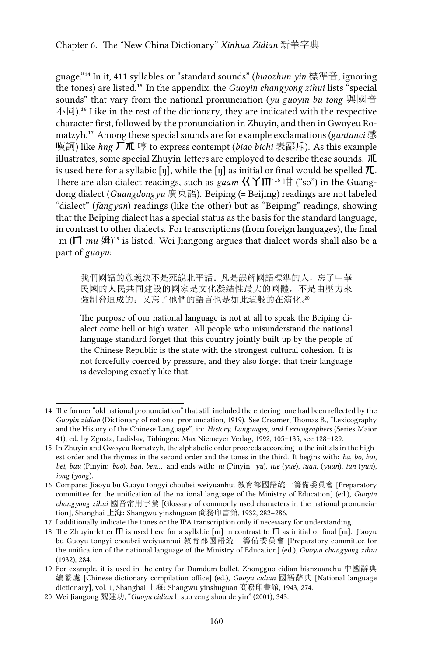guage."<sup>14</sup> In it, 411 syllables or "standard sounds" (*biaozhun yin* 標準音, ignoring the tones) are listed.<sup>15</sup> In the appendix, the *Guoyin changyong zihui* lists "special sounds" that vary from the national pronunciation (*yu guoyin bu tong* 與國音  $\overline{\text{F}}$ 同).<sup>16</sup> Like in the rest of the dictionary, they are indicated with the respective character first, followed by the pronunciation in Zhuyin, and then in Gwoyeu Romatzyh.<sup>17</sup> Among these special sounds are for example exclamations (*gantanci* 感 嘆詞) like *hng* ㄏㆭ 哼 to express contempt (*biao bichi* 表鄙斥). As this example illustrates, some special Zhuyin-letters are employed to describe these sounds.  $\mathbf{\pi}$ is used here for a syllabic [ŋ], while the [ŋ] as initial or final would be spelled  $\pi$ . There are also dialect readings, such as *gaam*  $\langle \langle Y| \Pi \rangle$ <sup>18</sup> 咁 ("so") in the Guangdong dialect (*Guangdongyu* 廣東語). Beiping (= Beijing) readings are not labeled "dialect" (*fangyan*) readings (like the other) but as "Beiping" readings, showing that the Beiping dialect has a special status as the basis for the standard language, in contrast to other dialects. For transcriptions (from foreign languages), the final -m ( $\Box$  *mu*  $\mathcal{H}$ )<sup>19</sup> is listed. Wei Jiangong argues that dialect words shall also be a part of *guoyu*:

我們國語的意義決不是死說北平話。凡是誤解國語標準的人,忘了中華 民國的人民共同建設的國家是文化凝結性最大的國體,不是由壓力來 強制脅迫成的;又忘了他們的語言也是如此這般的在演化。20

The purpose of our national language is not at all to speak the Beiping dialect come hell or high water. All people who misunderstand the national language standard forget that this country jointly built up by the people of the Chinese Republic is the state with the strongest cultural cohesion. It is not forcefully coerced by pressure, and they also forget that their language is developing exactly like that.

<sup>14</sup> The former "old national pronunciation" that still included the entering tone had been reflected by the *Guoyin zidian* (Dictionary of national pronunciation, 1919). See Creamer, Thomas B., "Lexicography and the History of the Chinese Language", in: *History, Languages, and Lexicographers* (Series Maior 41), ed. by Zgusta, Ladislav, Tübingen: Max Niemeyer Verlag, 1992, 105–135, see 128–129.

<sup>15</sup> In Zhuyin and Gwoyeu Romatzyh, the alphabetic order proceeds according to the initials in the highest order and the rhymes in the second order and the tones in the third. It begins with: *ba*, *bo*, *bai*, *bei*, *bau* (Pinyin: *bao*), *ban*, *ben*… and ends with: *iu* (Pinyin: *yu*), *iue* (*yue*), *iuan*, (*yuan*), *iun* (*yun*), *iong* (*yong*).

<sup>16</sup> Compare: Jiaoyu bu Guoyu tongyi choubei weiyuanhui 教育部國語統一籌備委員會 [Preparatory committee for the unification of the national language of the Ministry of Education] (ed.), *Guoyin changyong zihui* 國音常用字彙 [Glossary of commonly used characters in the national pronunciation], Shanghai 上海: Shangwu yinshuguan 商務印書館, 1932, 282–286.

<sup>17</sup> I additionally indicate the tones or the IPA transcription only if necessary for understanding.

<sup>18</sup> The Zhuyin-letter  $\Pi$  is used here for a syllabic [m] in contrast to  $\Pi$  as initial or final [m]. Jiaoyu bu Guoyu tongyi choubei weiyuanhui 教育部國語統一籌備委員會 [Preparatory committee for the unification of the national language of the Ministry of Education] (ed.), *Guoyin changyong zihui* (1932), 284.

<sup>19</sup> For example, it is used in the entry for Dumdum bullet. Zhongguo cidian bianzuanchu 中國辭典 編纂處 [Chinese dictionary compilation office] (ed.), *Guoyu cidian* 國語辭典 [National language dictionary], vol. 1, Shanghai 上海: Shangwu yinshuguan 商務印書館, 1943, 274.

<sup>20</sup> Wei Jiangong 魏建功, "*Guoyu cidian* li suo zeng shou de yin" (2001), 343.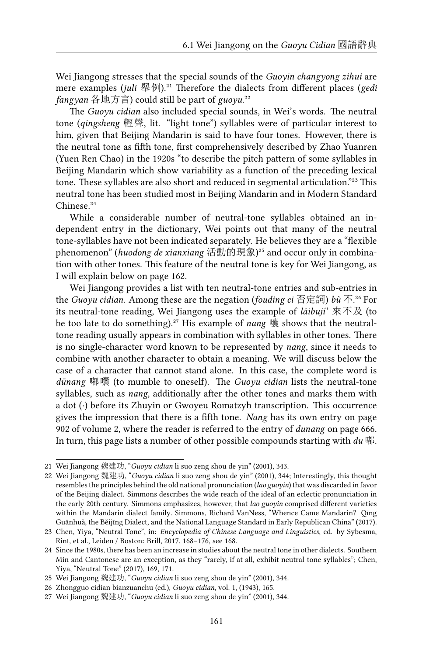Wei Jiangong stresses that the special sounds of the *Guoyin changyong zihui* are mere examples (*juli* 舉例).<sup>21</sup> Therefore the dialects from different places (*gedi*) *fangyan* 各地方言) could still be part of *guoyu*.²²

The *Guoyu cidian* also included special sounds, in Wei's words. The neutral tone (*qingsheng* 輕聲, lit. "light tone") syllables were of particular interest to him, given that Beijing Mandarin is said to have four tones. However, there is the neutral tone as fifth tone, first comprehensively described by Zhao Yuanren (Yuen Ren Chao) in the 1920s "to describe the pitch pattern of some syllables in Beijing Mandarin which show variability as a function of the preceding lexical tone. These syllables are also short and reduced in segmental articulation."<sup>23</sup> This neutral tone has been studied most in Beijing Mandarin and in Modern Standard Chinese<sup>24</sup>

While a considerable number of neutral-tone syllables obtained an independent entry in the dictionary, Wei points out that many of the neutral tone-syllables have not been indicated separately. He believes they are a "flexible phenomenon" (*huodong de xianxiang* 活動的現象)<sup>25</sup> and occur only in combination with other tones. This feature of the neutral tone is key for Wei Jiangong, as I will explain below on page 162.

Wei Jiangong provides a list with ten neutral-tone entries and sub-entries in the *Guoyu cidian*. Among these are the negation (*fouding ci* 否定詞) *bù* 不.²⁶ For its neutral-tone reading, Wei Jiangong uses the example of *láibují*' 來不及 (to be too late to do something).<sup>27</sup> His example of *nang* 囔 shows that the neutraltone reading usually appears in combination with syllables in other tones. There is no single-character word known to be represented by *nang*, since it needs to combine with another character to obtain a meaning. We will discuss below the case of a character that cannot stand alone. In this case, the complete word is *dūnang* 嘟囔 (to mumble to oneself). The *Guoyu cidian* lists the neutral-tone syllables, such as *nang*, additionally after the other tones and marks them with a dot (*·*) before its Zhuyin or Gwoyeu Romatzyh transcription. This occurrence gives the impression that there is a fifth tone. *Nang* has its own entry on page 902 of volume 2, where the reader is referred to the entry of *dunang* on page 666. In turn, this page lists a number of other possible compounds starting with *du* 嘟.

<sup>21</sup> Wei Jiangong 魏建功, "*Guoyu cidian* li suo zeng shou de yin" (2001), 343.

<sup>22</sup> Wei Jiangong 魏建功, "*Guoyu cidian* li suo zeng shou de yin" (2001), 344; Interestingly, this thought resembles the principles behind the old national pronunciation (*lao guoyin*) that was discarded in favor of the Beijing dialect. Simmons describes the wide reach of the ideal of an eclectic pronunciation in the early 20th century. Simmons emphasizes, however, that *lao guoyin* comprised different varieties within the Mandarin dialect family. Simmons, Richard VanNess, "Whence Came Mandarin? Qīng Guānhuà, the Běijīng Dialect, and the National Language Standard in Early Republican China" (2017).

<sup>23</sup> Chen, Yiya, "Neutral Tone", in: *Encyclopedia of Chinese Language and Linguistics*, ed. by Sybesma, Rint, et al., Leiden / Boston: Brill, 2017, 168–176, see 168.

<sup>24</sup> Since the 1980s, there has been an increase in studies about the neutral tone in other dialects. Southern Min and Cantonese are an exception, as they "rarely, if at all, exhibit neutral-tone syllables"; Chen, Yiya, "Neutral Tone" (2017), 169, 171.

<sup>25</sup> Wei Jiangong 魏建功, "*Guoyu cidian* li suo zeng shou de yin" (2001), 344.

<sup>26</sup> Zhongguo cidian bianzuanchu (ed.), *Guoyu cidian*, vol. 1, (1943), 165.

<sup>27</sup> Wei Jiangong 魏建功, "*Guoyu cidian* li suo zeng shou de yin" (2001), 344.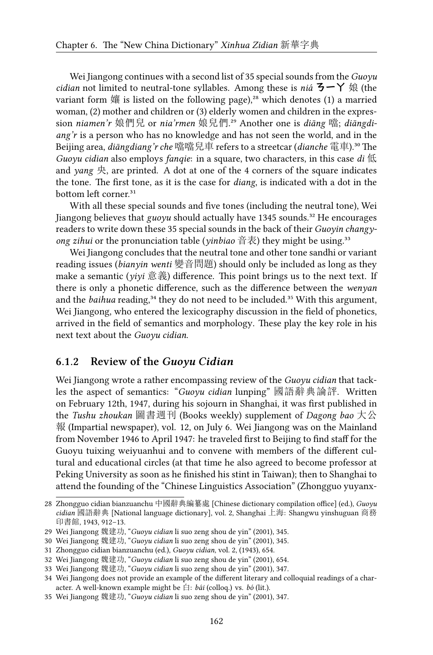Wei Jiangong continues with a second list of 35 special sounds from the *Guoyu cidian* not limited to neutral-tone syllables. Among these is *niá* ㄋㄧㄚ 娘 (the variant form  $\frac{1}{10}$  is listed on the following page),<sup>28</sup> which denotes (1) a married woman, (2) mother and children or (3) elderly women and children in the expression *niamen'r* 娘們兒 or *nia'rmen* 娘兒們.²⁹ Another one is *diāng* 噹; *diāngdiang'r* is a person who has no knowledge and has not seen the world, and in the Beijing area, *diāngdiang'r che* 噹噹兒車 refers to a streetcar (*dianche* 電車).³⁰ The *Guoyu cidian* also employs *fanqie*: in a square, two characters, in this case *di* 低 and *yang*  $\overline{\mathcal{R}}$ , are printed. A dot at one of the 4 corners of the square indicates the tone. The first tone, as it is the case for *diang*, is indicated with a dot in the bottom left corner.<sup>31</sup>

With all these special sounds and five tones (including the neutral tone), Wei Jiangong believes that *guoyu* should actually have 1345 sounds.<sup>32</sup> He encourages readers to write down these 35 special sounds in the back of their *Guoyin changyong zihui* or the pronunciation table (*yinbiao* 音表) they might be using.<sup>33</sup>

Wei Jiangong concludes that the neutral tone and other tone sandhi or variant reading issues (*bianyin wenti* 變音問題) should only be included as long as they make a semantic (*yiyi* 意義) difference. This point brings us to the next text. If there is only a phonetic difference, such as the difference between the *wenyan* and the *baihua* reading,<sup>34</sup> they do not need to be included.<sup>35</sup> With this argument, Wei Jiangong, who entered the lexicography discussion in the field of phonetics, arrived in the field of semantics and morphology. These play the key role in his next text about the *Guoyu cidian*.

#### **6.1.2 Review of the** *Guoyu Cidian*

Wei Jiangong wrote a rather encompassing review of the *Guoyu cidian* that tackles the aspect of semantics: "*Guoyu cidian* lunping" 國語辭典論評. Written on February 12th, 1947, during his sojourn in Shanghai, it was first published in the *Tushu zhoukan* 圖書週刊 (Books weekly) supplement of *Dagong bao* 大公 報 (Impartial newspaper), vol. 12, on July 6. Wei Jiangong was on the Mainland from November 1946 to April 1947: he traveled first to Beijing to find staff for the Guoyu tuixing weiyuanhui and to convene with members of the different cultural and educational circles (at that time he also agreed to become professor at Peking University as soon as he finished his stint in Taiwan); then to Shanghai to attend the founding of the "Chinese Linguistics Association" (Zhongguo yuyanx-

<sup>28</sup> Zhongguo cidian bianzuanchu 中國辭典編纂處 [Chinese dictionary compilation office] (ed.), *Guoyu cidian* 國語辭典 [National language dictionary], vol. 2, Shanghai 上海: Shangwu yinshuguan 商務 印書館, 1943, 912–13.

<sup>29</sup> Wei Jiangong 魏建功, "*Guoyu cidian* li suo zeng shou de yin" (2001), 345.

<sup>30</sup> Wei Jiangong 魏建功, "*Guoyu cidian* li suo zeng shou de yin" (2001), 345.

<sup>31</sup> Zhongguo cidian bianzuanchu (ed.), *Guoyu cidian*, vol. 2, (1943), 654.

<sup>32</sup> Wei Jiangong 魏建功, "*Guoyu cidian* li suo zeng shou de yin" (2001), 654.

<sup>33</sup> Wei Jiangong 魏建功, "*Guoyu cidian* li suo zeng shou de yin" (2001), 347.

<sup>34</sup> Wei Jiangong does not provide an example of the different literary and colloquial readings of a character. A well-known example might be 白: *bái* (colloq.) vs. *bó* (lit.).

<sup>35</sup> Wei Jiangong 魏建功, "*Guoyu cidian* li suo zeng shou de yin" (2001), 347.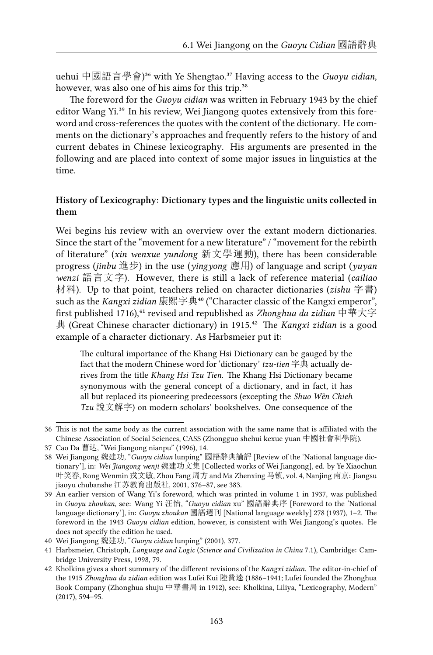uehui 中國語言學會)<sup>36</sup> with Ye Shengtao.<sup>37</sup> Having access to the *Guoyu cidian*, however, was also one of his aims for this trip.<sup>38</sup>

The foreword for the *Guoyu cidian* was written in February 1943 by the chief editor Wang Yi.<sup>39</sup> In his review, Wei Jiangong quotes extensively from this foreword and cross-references the quotes with the content of the dictionary. He comments on the dictionary's approaches and frequently refers to the history of and current debates in Chinese lexicography. His arguments are presented in the following and are placed into context of some major issues in linguistics at the time.

#### **History of Lexicography: Dictionary types and the linguistic units collected in them**

Wei begins his review with an overview over the extant modern dictionaries. Since the start of the "movement for a new literature" / "movement for the rebirth of literature" (*xin wenxue yundong* 新文學運動), there has been considerable progress (*jinbu* 進步) in the use (*yingyong* 應用) of language and script (*yuyan wenzi* 語言文字). However, there is still a lack of reference material (*cailiao* 材料). Up to that point, teachers relied on character dictionaries (*zishu* 字書) such as the *Kangxi zidian* 康熙字典<sup>40</sup> ("Character classic of the Kangxi emperor", first published 1716),<sup>41</sup> revised and republished as *Zhonghua da zidian* 中華大字 典 (Great Chinese character dictionary) in 1915.<sup>42</sup> The *Kangxi zidian* is a good example of a character dictionary. As Harbsmeier put it:

The cultural importance of the Khang Hsi Dictionary can be gauged by the fact that the modern Chinese word for 'dictionary' *tzu-tien* 字典 actually derives from the title *Khang Hsi Tzu Tien*. The Khang Hsi Dictionary became synonymous with the general concept of a dictionary, and in fact, it has all but replaced its pioneering predecessors (excepting the *Shuo Wên Chieh Tzu* 說文解字) on modern scholars' bookshelves. One consequence of the

<sup>36</sup> This is not the same body as the current association with the same name that is affiliated with the Chinese Association of Social Sciences, CASS (Zhongguo shehui kexue yuan 中國社會科學院).

<sup>37</sup> Cao Da 曹达, "Wei Jiangong nianpu" (1996), 14.

<sup>38</sup> Wei Jiangong 魏建功, "*Guoyu cidian* lunping" 國語辭典論評 [Review of the 'National language dictionary'], in: *Wei Jiangong wenji* 魏建功文集 [Collected works of Wei Jiangong], ed. by Ye Xiaochun 叶笑春, Rong Wenmin 戎文敏, Zhou Fang 周方 and Ma Zhenxing 马镇, vol. 4, Nanjing 南京: Jiangsu jiaoyu chubanshe 江苏教育出版社, 2001, 376–87, see 383.

<sup>39</sup> An earlier version of Wang Yi's foreword, which was printed in volume 1 in 1937, was published in *Guoyu zhoukan*, see: Wang Yi 汪怡, "*Guoyu cidian* xu" 國語辭典序 [Foreword to the 'National language dictionary'], in: *Guoyu zhoukan* 國語週刊 [National language weekly] 278 (1937), 1–2. The foreword in the 1943 *Guoyu cidian* edition, however, is consistent with Wei Jiangong's quotes. He does not specify the edition he used.

<sup>40</sup> Wei Jiangong 魏建功, "*Guoyu cidian* lunping" (2001), 377.

<sup>41</sup> Harbsmeier, Christoph, *Language and Logic* (*Science and Civilization in China* 7.1), Cambridge: Cambridge University Press, 1998, 79.

<sup>42</sup> Kholkina gives a short summary of the different revisions of the *Kangxi zidian*. The editor-in-chief of the 1915 *Zhonghua da zidian* edition was Lufei Kui 陸費逵 (1886–1941; Lufei founded the Zhonghua Book Company (Zhonghua shuju 中華書局 in 1912), see: Kholkina, Liliya, "Lexicography, Modern" (2017), 594–95.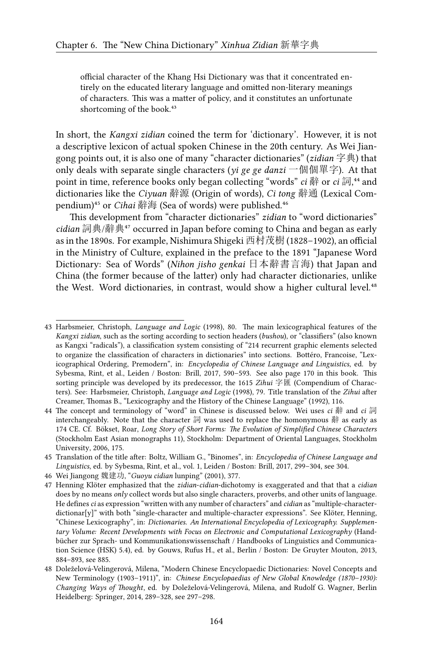official character of the Khang Hsi Dictionary was that it concentrated entirely on the educated literary language and omitted non-literary meanings of characters. This was a matter of policy, and it constitutes an unfortunate shortcoming of the book.<sup>43</sup>

In short, the *Kangxi zidian* coined the term for 'dictionary'. However, it is not a descriptive lexicon of actual spoken Chinese in the 20th century. As Wei Jiangong points out, it is also one of many "character dictionaries" (*zidian* 字典) that only deals with separate single characters (*yi ge ge danzi* 一個個單字). At that point in time, reference books only began collecting "words" *ci* 辭 or *ci* 詞,<sup>44</sup> and dictionaries like the *Ciyuan* 辭源 (Origin of words), *Ci tong* 辭通 (Lexical Compendium)<sup>45</sup> or *Cihai* 辭海 (Sea of words) were published.<sup>46</sup>

This development from "character dictionaries" *zidian* to "word dictionaries" *cidian* 詞典/辭典⁴⁷ occurred in Japan before coming to China and began as early as in the 1890s. For example, Nishimura Shigeki 西村茂樹 (1828–1902), an official in the Ministry of Culture, explained in the preface to the 1891 "Japanese Word Dictionary: Sea of Words" (*Nihon jisho genkai* 日本辭書言海) that Japan and China (the former because of the latter) only had character dictionaries, unlike the West. Word dictionaries, in contrast, would show a higher cultural level.<sup>48</sup>

<sup>43</sup> Harbsmeier, Christoph, *Language and Logic* (1998), 80. The main lexicographical features of the *Kangxi zidian*, such as the sorting according to section headers (*bushou*), or "classifiers" (also known as Kangxi "radicals"), a classification system consisting of "214 recurrent graphic elements selected to organize the classification of characters in dictionaries" into sections. Bottéro, Francoise, "Lexicographical Ordering, Premodern", in: *Encyclopedia of Chinese Language and Linguistics*, ed. by Sybesma, Rint, et al., Leiden / Boston: Brill, 2017, 590–593. See also page 170 in this book. This sorting principle was developed by its predecessor, the 1615 *Zihui* 字匯 (Compendium of Characters). See: Harbsmeier, Christoph, *Language and Logic* (1998), 79. Title translation of the *Zihui* after Creamer, Thomas B., "Lexicography and the History of the Chinese Language" (1992), 116.

<sup>44</sup> The concept and terminology of "word" in Chinese is discussed below. Wei uses *ci* 辭 and *ci* 詞 interchangeably. Note that the character 詞 was used to replace the homonymous 辭 as early as 174 CE. Cf. Bökset, Roar, *Long Story of Short Forms: The Evolution of Simplified Chinese Characters* (Stockholm East Asian monographs 11), Stockholm: Department of Oriental Languages, Stockholm University, 2006, 175.

<sup>45</sup> Translation of the title after: Boltz, William G., "Binomes", in: *Encyclopedia of Chinese Language and Linguistics*, ed. by Sybesma, Rint, et al., vol. 1, Leiden / Boston: Brill, 2017, 299–304, see 304.

<sup>46</sup> Wei Jiangong 魏建功, "*Guoyu cidian* lunping" (2001), 377.

<sup>47</sup> Henning Klöter emphasized that the *zidian*-*cidian*-dichotomy is exaggerated and that that a *cidian* does by no means *only* collect words but also single characters, proverbs, and other units of language. He defines*ci* as expression "written with any number of characters" and *cidian* as "multiple-characterdictionar[y]" with both "single-character and multiple-character expressions". See Klöter, Henning, "Chinese Lexicography", in: *Dictionaries. An International Encyclopedia of Lexicography. Supplementary Volume: Recent Developments with Focus on Electronic and Computational Lexicography* (Handbücher zur Sprach- und Kommunikationswissenschaft / Handbooks of Linguistics and Communication Science (HSK) 5.4), ed. by Gouws, Rufus H., et al., Berlin / Boston: De Gruyter Mouton, 2013, 884–893, see 885.

<sup>48</sup> Doleželová-Velingerová, Milena, "Modern Chinese Encyclopaedic Dictionaries: Novel Concepts and New Terminology (1903–1911)", in: *Chinese Encyclopaedias of New Global Knowledge (1870–1930): Changing Ways of Thought*, ed. by Doleželová-Velingerová, Milena, and Rudolf G. Wagner, Berlin Heidelberg: Springer, 2014, 289–328, see 297–298.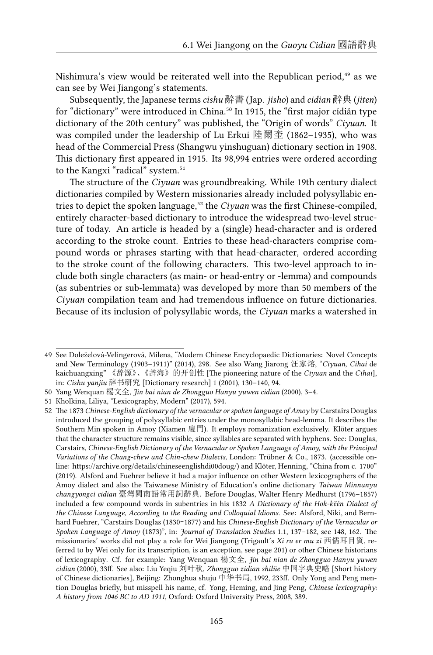Nishimura's view would be reiterated well into the Republican period,<sup>49</sup> as we can see by Wei Jiangong's statements.

Subsequently, the Japanese terms*cishu* 辭書 (Jap. *jisho*) and *cidian* 辭典 (*jiten*) for "dictionary" were introduced in China.<sup>50</sup> In 1915, the "first major cídiǎn type dictionary of the 20th century" was published, the "Origin of words" *Ciyuan*. It was compiled under the leadership of Lu Erkui 陸爾奎 (1862–1935), who was head of the Commercial Press (Shangwu yinshuguan) dictionary section in 1908. This dictionary first appeared in 1915. Its 98,994 entries were ordered according to the Kangxi "radical" system.<sup>51</sup>

The structure of the *Ciyuan* was groundbreaking. While 19th century dialect dictionaries compiled by Western missionaries already included polysyllabic entries to depict the spoken language,<sup>52</sup> the *Ciyuan* was the first Chinese-compiled, entirely character-based dictionary to introduce the widespread two-level structure of today. An article is headed by a (single) head-character and is ordered according to the stroke count. Entries to these head-characters comprise compound words or phrases starting with that head-character, ordered according to the stroke count of the following characters. This two-level approach to include both single characters (as main- or head-entry or -lemma) and compounds (as subentries or sub-lemmata) was developed by more than 50 members of the *Ciyuan* compilation team and had tremendous influence on future dictionaries. Because of its inclusion of polysyllabic words, the *Ciyuan* marks a watershed in

<sup>49</sup> See Doleželová-Velingerová, Milena, "Modern Chinese Encyclopaedic Dictionaries: Novel Concepts and New Terminology (1903–1911)" (2014), 298. See also Wang Jiarong 汪家熔, "*Ciyuan*, *Cihai* de kaichuangxing" 《辞源》、《辞海》的开创性 [The pioneering nature of the *Ciyuan* and the *Cihai*], in: *Cishu yanjiu* 辞书研究 [Dictionary research] 1 (2001), 130–140, 94.

<sup>50</sup> Yang Wenquan 楊文全, *Jin bai nian de Zhongguo Hanyu yuwen cidian* (2000), 3–4.

<sup>51</sup> Kholkina, Liliya, "Lexicography, Modern" (2017), 594.

<sup>52</sup> The 1873 *Chinese-English dictionary of the vernacular or spoken language of Amoy* by Carstairs Douglas introduced the grouping of polysyllabic entries under the monosyllabic head-lemma. It describes the Southern Min spoken in Amoy (Xiamen 廈門). It employs romanization exclusively. Klöter argues that the character structure remains visible, since syllables are separated with hyphens. See: Douglas, Carstairs, *Chinese-English Dictionary of the Vernacular or Spoken Language of Amoy, with the Principal Variations of the Chang-chew and Chin-chew Dialects*, London: Trübner & Co., 1873. (accessible online: <https://archive.org/details/chineseenglishdi00doug/>) and Klöter, Henning, "China from c. 1700" (2019). Alsford and Fuehrer believe it had a major influence on other Western lexicographers of the Amoy dialect and also the Taiwanese Ministry of Education's online dictionary *Taiwan Minnanyu changyongci cidian* 臺灣閩南語常用詞辭典. Before Douglas, Walter Henry Medhurst (1796–1857) included a few compound words in subentries in his 1832 *A Dictionary of the Hok-këèn Dialect of the Chinese Language, According to the Reading and Colloquial Idioms*. See: Alsford, Niki, and Bernhard Fuehrer, "Carstairs Douglas (1830–1877) and his *Chinese-English Dictionary of the Vernacular or Spoken Language of Amoy* (1873)", in: *Journal of Translation Studies* 1.1, 137–182, see 148, 162. The missionaries' works did not play a role for Wei Jiangong (Trigault's *Xi ru er mu zi* 西儒耳目資, referred to by Wei only for its transcription, is an exception, see page 201) or other Chinese historians of lexicography. Cf. for example: Yang Wenquan 楊文全, *Jin bai nian de Zhongguo Hanyu yuwen cidian* (2000), 33ff. See also: Liu Yeqiu 刘叶秋, *Zhongguo zidian shilüe* 中国字典史略 [Short history of Chinese dictionaries], Beijing: Zhonghua shuju 中华书局, 1992, 233ff. Only Yong and Peng mention Douglas briefly, but misspell his name, cf. Yong, Heming, and Jing Peng, *Chinese lexicography: A history from 1046 BC to AD 1911*, Oxford: Oxford University Press, 2008, 389.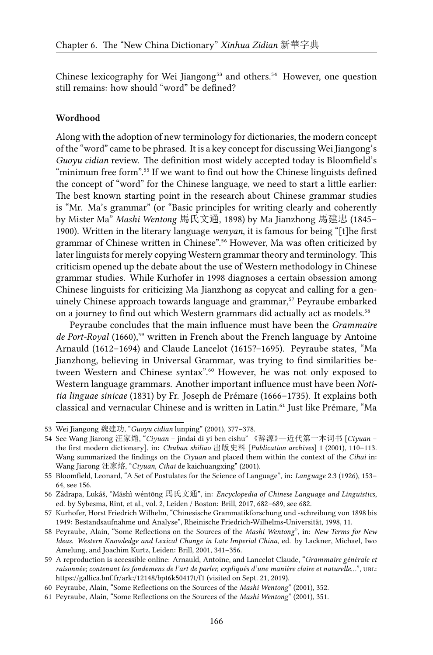Chinese lexicography for Wei Jiangong<sup>53</sup> and others.<sup>54</sup> However, one question still remains: how should "word" be defined?

#### **Wordhood**

Along with the adoption of new terminology for dictionaries, the modern concept of the "word" came to be phrased. It is a key concept for discussing Wei Jiangong's *Guoyu cidian* review. The definition most widely accepted today is Bloomfield's "minimum free form".<sup>55</sup> If we want to find out how the Chinese linguists defined the concept of "word" for the Chinese language, we need to start a little earlier: The best known starting point in the research about Chinese grammar studies is "Mr. Ma's grammar" (or "Basic principles for writing clearly and coherently by Mister Ma" *Mashi Wentong* 馬氏文通, 1898) by Ma Jianzhong 馬建忠 (1845– 1900). Written in the literary language *wenyan*, it is famous for being "[t]he first grammar of Chinese written in Chinese".<sup>56</sup> However, Ma was often criticized by later linguists for merely copying Western grammar theory and terminology. This criticism opened up the debate about the use of Western methodology in Chinese grammar studies. While Kurhofer in 1998 diagnoses a certain obsession among Chinese linguists for criticizing Ma Jianzhong as copycat and calling for a genuinely Chinese approach towards language and grammar,<sup>57</sup> Peyraube embarked on a journey to find out which Western grammars did actually act as models.<sup>58</sup>

Peyraube concludes that the main influence must have been the *Grammaire de Port-Royal* (1660),<sup>59</sup> written in French about the French language by Antoine Arnauld (1612–1694) and Claude Lancelot (1615?–1695). Peyraube states, "Ma Jianzhong, believing in Universal Grammar, was trying to find similarities between Western and Chinese syntax".<sup>60</sup> However, he was not only exposed to Western language grammars. Another important influence must have been *Notitia linguae sinicae* (1831) by Fr. Joseph de Prémare (1666–1735). It explains both classical and vernacular Chinese and is written in Latin.<sup>61</sup> Just like Prémare, "Ma

<sup>53</sup> Wei Jiangong 魏建功, "*Guoyu cidian* lunping" (2001), 377–378.

<sup>54</sup> See Wang Jiarong 汪家熔, "*Ciyuan* – jindai di yi ben cishu" 《辞源》—近代第一本词书 [*Ciyuan* – the first modern dictionary], in: *Chuban shiliao* 出版史料 [*Publication archives*] 1 (2001), 110–113. Wang summarized the findings on the *Ciyuan* and placed them within the context of the *Cihai* in: Wang Jiarong 汪家熔, "*Ciyuan*, *Cihai* de kaichuangxing" (2001).

<sup>55</sup> Bloomfield, Leonard, "A Set of Postulates for the Science of Language", in: *Language* 2.3 (1926), 153– 64, see 156.

<sup>56</sup> Zádrapa, Lukáš, "Mǎshì wéntōng 馬氏文通", in: *Encyclopedia of Chinese Language and Linguistics*, ed. by Sybesma, Rint, et al., vol. 2, Leiden / Boston: Brill, 2017, 682–689, see 682.

<sup>57</sup> Kurhofer, Horst Friedrich Wilhelm, "Chinesische Grammatikforschung und -schreibung von 1898 bis 1949: Bestandsaufnahme und Analyse", Rheinische Friedrich-Wilhelms-Universität, 1998, 11.

<sup>58</sup> Peyraube, Alain, "Some Reflections on the Sources of the *Mashi Wentong*", in: *New Terms for New Ideas. Western Knowledge and Lexical Change in Late Imperial China*, ed. by Lackner, Michael, Iwo Amelung, and Joachim Kurtz, Leiden: Brill, 2001, 341–356.

<sup>59</sup> A reproduction is accessible online: Arnauld, Antoine, and Lancelot Claude, "*Grammaire générale et raisonnée; contenant les fondemens de l'art de parler, expliqués d'une manière claire et naturelle...*", URL: https://gallica.bnf.fr/ark:/12148/bpt6k50417t/f1 (visited on Sept. 21, 2019).

<sup>60</sup> Peyraube, Alain, "Some Reflections on the Sources of the *Mashi Wentong*" (2001), 352.

<sup>61</sup> Peyraube, Alain, "Some Reflections on the Sources of the *Mashi Wentong*" (2001), 351.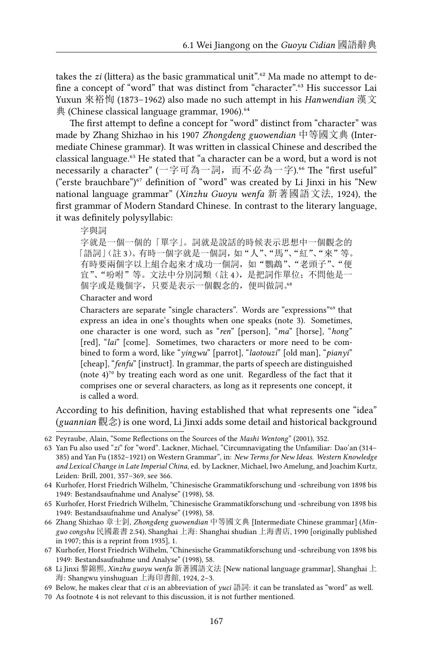takes the *zi* (littera) as the basic grammatical unit".<sup>62</sup> Ma made no attempt to define a concept of "word" that was distinct from "character".<sup>63</sup> His successor Lai Yuxun 來裕恂 (1873–1962) also made no such attempt in his *Hanwendian* 漢文  $H$ <sub>(Chinese classical language grammar, 1906).</sub><sup>64</sup>

The first attempt to define a concept for "word" distinct from "character" was made by Zhang Shizhao in his 1907 *Zhongdeng guowendian* 中等國文典 (Intermediate Chinese grammar). It was written in classical Chinese and described the classical language.<sup>65</sup> He stated that "a character can be a word, but a word is not necessarily a character" (一字可為一詞, 而不必為一字).<sup>66</sup> The "first useful" ("erste brauchbare") $67$  definition of "word" was created by Li Jinxi in his "New national language grammar" (*Xinzhu Guoyu wenfa* 新著國語文法, 1924), the first grammar of Modern Standard Chinese. In contrast to the literary language, it was definitely polysyllabic:

字與詞

字就是一個一個的「單字」。詞就是說話的時候表示思想中一個觀念的 「語詞」(註 3)。有時一個字就是一個詞,如"人"、"馬"、"紅"、"來"等。 有時要兩個字以上組合起來才成功一個詞,如"鸚鵡"、"老頭子"、"便 宜"、"吩咐"等。文法中分別詞類(註 4),是把詞作單位;不問他是一 個字或是幾個字,只要是表示一個觀念的, 便叫做詞。<sup>68</sup>

Character and word

Characters are separate "single characters". Words are "expressions"<sup>69</sup> that express an idea in one's thoughts when one speaks (note 3). Sometimes, one character is one word, such as "*ren*" [person], "*ma*" [horse], "*hong*" [red], "*lai*" [come]. Sometimes, two characters or more need to be combined to form a word, like "*yingwu*" [parrot], "*laotouzi*" [old man], "*pianyi*" [cheap], "*fenfu*" [instruct]. In grammar, the parts of speech are distinguished (note  $4$ )<sup>70</sup> by treating each word as one unit. Regardless of the fact that it comprises one or several characters, as long as it represents one concept, it is called a word.

According to his definition, having established that what represents one "idea" (*guannian* 觀念) is one word, Li Jinxi adds some detail and historical background

<sup>62</sup> Peyraube, Alain, "Some Reflections on the Sources of the *Mashi Wentong*" (2001), 352.

<sup>63</sup> Yan Fu also used "*zi*" for "word". Lackner, Michael, "Circumnavigating the Unfamiliar: Dao'an (314– 385) and Yan Fu (1852–1921) on Western Grammar", in: *New Terms for New Ideas. Western Knowledge and Lexical Change in Late Imperial China*, ed. by Lackner, Michael, Iwo Amelung, and Joachim Kurtz, Leiden: Brill, 2001, 357–369, see 366.

<sup>64</sup> Kurhofer, Horst Friedrich Wilhelm, "Chinesische Grammatikforschung und -schreibung von 1898 bis 1949: Bestandsaufnahme und Analyse" (1998), 58.

<sup>65</sup> Kurhofer, Horst Friedrich Wilhelm, "Chinesische Grammatikforschung und -schreibung von 1898 bis 1949: Bestandsaufnahme und Analyse" (1998), 58.

<sup>66</sup> Zhang Shizhao 章士釗, *Zhongdeng guowendian* 中等國文典 [Intermediate Chinese grammar] (*Minguo congshu* 民國叢書 2.54), Shanghai 上海: Shanghai shudian 上海書店, 1990 [originally published in 1907; this is a reprint from 1935], 1.

<sup>67</sup> Kurhofer, Horst Friedrich Wilhelm, "Chinesische Grammatikforschung und -schreibung von 1898 bis 1949: Bestandsaufnahme und Analyse" (1998), 58.

<sup>68</sup> Li Jinxi 黎錦熙, *Xinzhu guoyu wenfa* 新著國語文法 [New national language grammar], Shanghai 上 海: Shangwu yinshuguan 上海印書館, 1924, 2–3.

<sup>69</sup> Below, he makes clear that *ci* is an abbreviation of *yuci* 語詞: it can be translated as "word" as well.

<sup>70</sup> As footnote 4 is not relevant to this discussion, it is not further mentioned.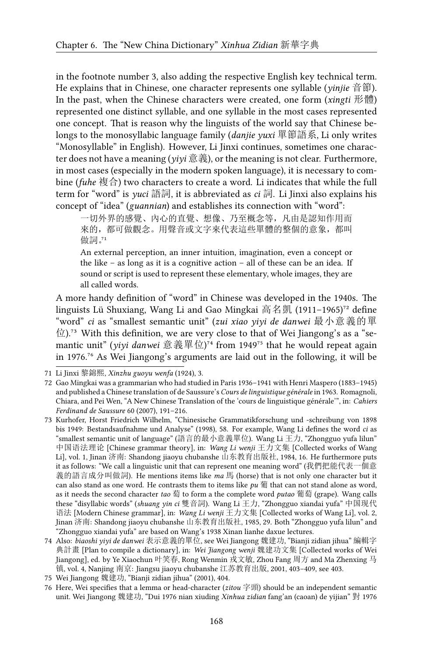in the footnote number 3, also adding the respective English key technical term. He explains that in Chinese, one character represents one syllable (*yinjie* 音節). In the past, when the Chinese characters were created, one form (*xingti* 形體) represented one distinct syllable, and one syllable in the most cases represented one concept. That is reason why the linguists of the world say that Chinese belongs to the monosyllabic language family (*danjie yuxi* 單節語系, Li only writes "Monosyllable" in English). However, Li Jinxi continues, sometimes one character does not have a meaning (*yiyi* 意義), or the meaning is not clear. Furthermore, in most cases (especially in the modern spoken language), it is necessary to combine (*fuhe* 複合) two characters to create a word. Li indicates that while the full term for "word" is *yuci* 語詞, it is abbreviated as *ci* 詞. Li Jinxi also explains his concept of "idea" (*guannian*) and establishes its connection with "word":

一切外界的感覺、內心的直覺、想像、乃至概念等,凡由是認知作用而 來的,都可做觀念。用聲音或文字來代表這些單體的整個的意象,都叫 做詞。"

An external perception, an inner intuition, imagination, even a concept or the like – as long as it is a cognitive action – all of these can be an idea. If sound or script is used to represent these elementary, whole images, they are all called words.

A more handy definition of "word" in Chinese was developed in the 1940s. The linguists Lü Shuxiang, Wang Li and Gao Mingkai 高名凱 (1911–1965)<sup>72</sup> define "word" *ci* as "smallest semantic unit" (*zui xiao yiyi de danwei* 最小意義的單  $\hat{\boxdot}$ ).<sup>73</sup> With this definition, we are very close to that of Wei Jiangong's as a "semantic unit" (*yiyi danwei* 意義單位)<sup>74</sup> from 1949<sup>75</sup> that he would repeat again in 1976.<sup>76</sup> As Wei Jiangong's arguments are laid out in the following, it will be

<sup>71</sup> Li Jinxi 黎錦熙, *Xinzhu guoyu wenfa* (1924), 3.

<sup>72</sup> Gao Mingkai was a grammarian who had studied in Paris 1936–1941 with Henri Maspero (1883–1945) and published a Chinese translation of de Saussure's *Cours de linguistique générale* in 1963. Romagnoli, Chiara, and Pei Wen, "A New Chinese Translation of the 'cours de linguistique générale'", in: *Cahiers Ferdinand de Saussure* 60 (2007), 191–216.

<sup>73</sup> Kurhofer, Horst Friedrich Wilhelm, "Chinesische Grammatikforschung und -schreibung von 1898 bis 1949: Bestandsaufnahme und Analyse" (1998), 58. For example, Wang Li defines the word *ci* as "smallest semantic unit of language" (語言的最小意義單位). Wang Li 王力, "Zhongguo yufa lilun" 中国语法理论 [Chinese grammar theory], in: *Wang Li wenji* 王力文集 [Collected works of Wang Li], vol. 1, Jinan 济南: Shandong jiaoyu chubanshe 山东教育出版社, 1984, 16. He furthermore puts it as follows: "We call a linguistic unit that can represent one meaning word" (我們把能代表一個意 義的語言成分叫做詞). He mentions items like *ma* 馬 (horse) that is not only one character but it can also stand as one word. He contrasts them to items like *pu* 葡 that can not stand alone as word, as it needs the second character *tao* 萄 to form a the complete word *putao* 葡萄 (grape). Wang calls these "disyllabic words" (*shuang yin ci* 雙音詞). Wang Li 王力, "Zhongguo xiandai yufa" 中国现代 语法 [Modern Chinese grammar], in: *Wang Li wenji* 王力文集 [Collected works of Wang Li], vol. 2, Jinan 济南: Shandong jiaoyu chubanshe 山东教育出版社, 1985, 29. Both "Zhongguo yufa lilun" and "Zhongguo xiandai yufa" are based on Wang's 1938 Xinan lianhe daxue lectures.

<sup>74</sup> Also: *biaoshi yiyi de danwei* 表示意義的單位, see Wei Jiangong 魏建功, "Bianji zidian jihua" 編輯字 典計畫 [Plan to compile a dictionary], in: *Wei Jiangong wenji* 魏建功文集 [Collected works of Wei Jiangong], ed. by Ye Xiaochun 叶笑春, Rong Wenmin 戎文敏, Zhou Fang 周方 and Ma Zhenxing 马 镇, vol. 4, Nanjing 南京: Jiangsu jiaoyu chubanshe 江苏教育出版, 2001, 403–409, see 403.

<sup>75</sup> Wei Jiangong 魏建功, "Bianji zidian jihua" (2001), 404.

<sup>76</sup> Here, Wei specifies that a lemma or head-character (*zitou* 字頭) should be an independent semantic unit. Wei Jiangong 魏建功, "Dui 1976 nian xiuding *Xinhua zidian* fang'an (caoan) de yijian" 對 1976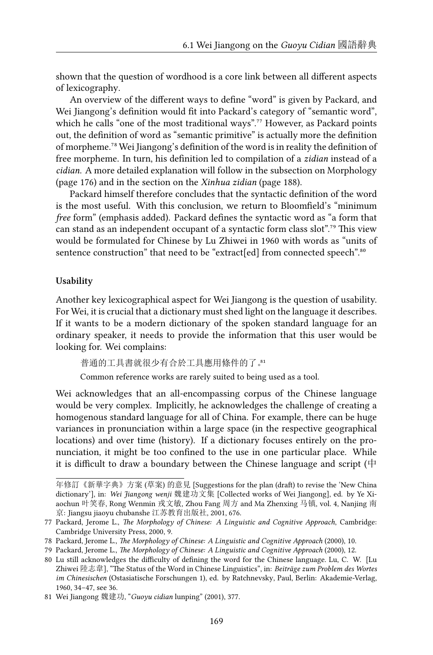shown that the question of wordhood is a core link between all different aspects of lexicography.

An overview of the different ways to define "word" is given by Packard, and Wei Jiangong's definition would fit into Packard's category of "semantic word", which he calls "one of the most traditional ways".<sup>77</sup> However, as Packard points out, the definition of word as "semantic primitive" is actually more the definition of morpheme.⁷⁸ Wei Jiangong's definition of the word is in reality the definition of free morpheme. In turn, his definition led to compilation of a *zidian* instead of a *cidian*. A more detailed explanation will follow in the subsection on Morphology (page 176) and in the section on the *Xinhua zidian* (page 188).

Packard himself therefore concludes that the syntactic definition of the word is the most useful. With this conclusion, we return to Bloomfield's "minimum *free* form" (emphasis added). Packard defines the syntactic word as "a form that can stand as an independent occupant of a syntactic form class slot".<sup>79</sup> This view would be formulated for Chinese by Lu Zhiwei in 1960 with words as "units of sentence construction" that need to be "extract[ed] from connected speech".<sup>80</sup>

#### **Usability**

Another key lexicographical aspect for Wei Jiangong is the question of usability. For Wei, it is crucial that a dictionary must shed light on the language it describes. If it wants to be a modern dictionary of the spoken standard language for an ordinary speaker, it needs to provide the information that this user would be looking for. Wei complains:

普通的工具書就很少有合於工具應用條件的了。

Common reference works are rarely suited to being used as a tool.

Wei acknowledges that an all-encompassing corpus of the Chinese language would be very complex. Implicitly, he acknowledges the challenge of creating a homogenous standard language for all of China. For example, there can be huge variances in pronunciation within a large space (in the respective geographical locations) and over time (history). If a dictionary focuses entirely on the pronunciation, it might be too confined to the use in one particular place. While it is difficult to draw a boundary between the Chinese language and script ( $\uparrow$ 

年修訂《新華字典》方案 (草案) 的意見 [Suggestions for the plan (draft) to revise the 'New China dictionary'], in: *Wei Jiangong wenji* 魏建功文集 [Collected works of Wei Jiangong], ed. by Ye Xiaochun 叶笑春, Rong Wenmin 戎文敏, Zhou Fang 周方 and Ma Zhenxing 马镇, vol. 4, Nanjing 南 京: Jiangsu jiaoyu chubanshe 江苏教育出版社, 2001, 676.

<sup>77</sup> Packard, Jerome L., *The Morphology of Chinese: A Linguistic and Cognitive Approach*, Cambridge: Cambridge University Press, 2000, 9.

<sup>78</sup> Packard, Jerome L., *The Morphology of Chinese: A Linguistic and Cognitive Approach* (2000), 10.

<sup>79</sup> Packard, Jerome L., *The Morphology of Chinese: A Linguistic and Cognitive Approach* (2000), 12.

<sup>80</sup> Lu still acknowledges the difficulty of defining the word for the Chinese language. Lu, C. W. [Lu Zhiwei 陸志韋], "The Status of the Word in Chinese Linguistics", in: *Beiträge zum Problem des Wortes im Chinesischen* (Ostasiatische Forschungen 1), ed. by Ratchnevsky, Paul, Berlin: Akademie-Verlag, 1960, 34–47, see 36.

<sup>81</sup> Wei Jiangong 魏建功, "*Guoyu cidian* lunping" (2001), 377.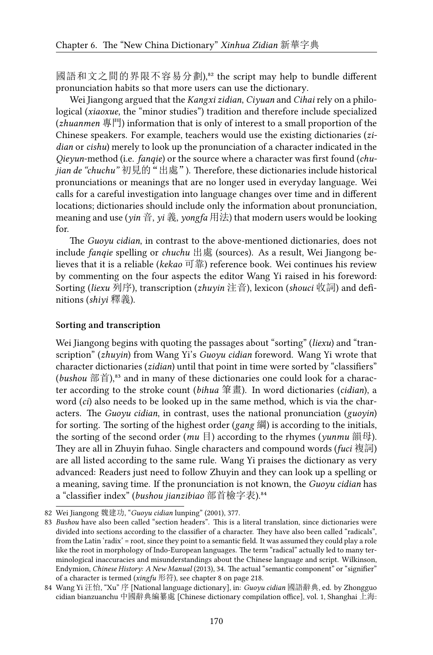國語和文之間的界限不容易分劃),<sup>32</sup> the script may help to bundle different pronunciation habits so that more users can use the dictionary.

Wei Jiangong argued that the *Kangxi zidian*, *Ciyuan* and *Cihai* rely on a philological (*xiaoxue*, the "minor studies") tradition and therefore include specialized (*zhuanmen* 專門) information that is only of interest to a small proportion of the Chinese speakers. For example, teachers would use the existing dictionaries (*zidian* or *cishu*) merely to look up the pronunciation of a character indicated in the *Qieyun*-method (i.e. *fanqie*) or the source where a character was first found (*chujian de "chuchu"* 初見的"出處"). Therefore, these dictionaries include historical pronunciations or meanings that are no longer used in everyday language. Wei calls for a careful investigation into language changes over time and in different locations; dictionaries should include only the information about pronunciation, meaning and use (*yin* 音, *yi* 義, *yongfa* 用法) that modern users would be looking for.

The *Guoyu cidian*, in contrast to the above-mentioned dictionaries, does not include *fanqie* spelling or *chuchu* 出處 (sources). As a result, Wei Jiangong believes that it is a reliable (*kekao* 可靠) reference book. Wei continues his review by commenting on the four aspects the editor Wang Yi raised in his foreword: Sorting (*liexu* 列序), transcription (*zhuyin* 注音), lexicon (*shouci* 收詞) and definitions (*shiyi* 釋義).

#### **Sorting and transcription**

Wei Jiangong begins with quoting the passages about "sorting" (*liexu*) and "transcription" (*zhuyin*) from Wang Yi's *Guoyu cidian* foreword. Wang Yi wrote that character dictionaries (*zidian*) until that point in time were sorted by "classifiers" (*bushou* 部首),<sup>83</sup> and in many of these dictionaries one could look for a character according to the stroke count (*bihua* 筆畫). In word dictionaries (*cidian*), a word (*ci*) also needs to be looked up in the same method, which is via the characters. The *Guoyu cidian*, in contrast, uses the national pronunciation (*guoyin*) for sorting. The sorting of the highest order (*gang* 綱) is according to the initials, the sorting of the second order (*mu* 目) according to the rhymes (*yunmu* 韻母). They are all in Zhuyin fuhao. Single characters and compound words (*fuci* 複詞) are all listed according to the same rule. Wang Yi praises the dictionary as very advanced: Readers just need to follow Zhuyin and they can look up a spelling or a meaning, saving time. If the pronunciation is not known, the *Guoyu cidian* has a "classifier index" (*bushou jianzibiao* 部首檢字表).<sup>84</sup>

<sup>82</sup> Wei Jiangong 魏建功, "*Guoyu cidian* lunping" (2001), 377.

<sup>83</sup> *Bushou* have also been called "section headers". This is a literal translation, since dictionaries were divided into sections according to the classifier of a character. They have also been called "radicals", from the Latin 'radix' = root, since they point to a semantic field. It was assumed they could play a role like the root in morphology of Indo-European languages. The term "radical" actually led to many terminological inaccuracies and misunderstandings about the Chinese language and script. Wilkinson, Endymion, *Chinese History: A New Manual* (2013), 34. The actual "semantic component" or "signifier" of a character is termed (*xingfu* 形符), see chapter 8 on page 218.

<sup>84</sup> Wang Yi 汪怡, "Xu" 序 [National language dictionary], in: *Guoyu cidian* 國語辭典, ed. by Zhongguo cidian bianzuanchu 中國辭典編纂處 [Chinese dictionary compilation office], vol. 1, Shanghai 上海: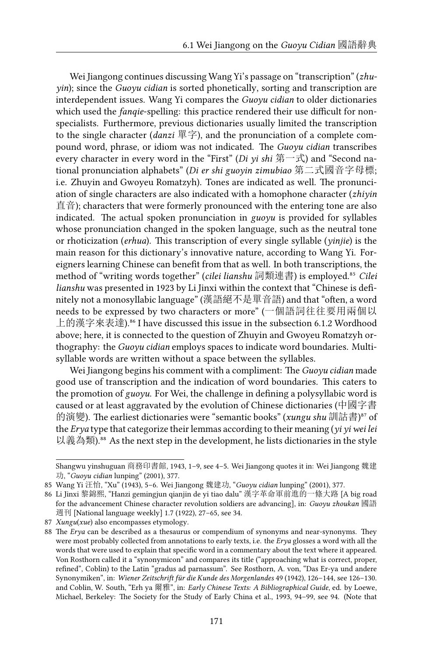Wei Jiangong continues discussing Wang Yi's passage on "transcription" (*zhuyin*); since the *Guoyu cidian* is sorted phonetically, sorting and transcription are interdependent issues. Wang Yi compares the *Guoyu cidian* to older dictionaries which used the *fanqie*-spelling: this practice rendered their use difficult for nonspecialists. Furthermore, previous dictionaries usually limited the transcription to the single character (*danzi* 單字), and the pronunciation of a complete compound word, phrase, or idiom was not indicated. The *Guoyu cidian* transcribes every character in every word in the "First" (*Di yi shi* 第一式) and "Second national pronunciation alphabets" (*Di er shi guoyin zimubiao* 第二式國音字母標; i.e. Zhuyin and Gwoyeu Romatzyh). Tones are indicated as well. The pronunciation of single characters are also indicated with a homophone character (*zhiyin* 直音); characters that were formerly pronounced with the entering tone are also indicated. The actual spoken pronunciation in *guoyu* is provided for syllables whose pronunciation changed in the spoken language, such as the neutral tone or rhoticization (*erhua*). This transcription of every single syllable (*yinjie*) is the main reason for this dictionary's innovative nature, according to Wang Yi. Foreigners learning Chinese can benefit from that as well. In both transcriptions, the method of "writing words together" (*cilei lianshu* 詞類連書) is employed.<sup>85</sup> Cilei *lianshu* was presented in 1923 by Li Jinxi within the context that "Chinese is definitely not a monosyllabic language" (漢語絕不是單音語) and that "often, a word needs to be expressed by two characters or more" (一個語詞往往要用兩個以 上的漢字來表達).<sup>86</sup> I have discussed this issue in the subsection 6.1.2 Wordhood above; here, it is connected to the question of Zhuyin and Gwoyeu Romatzyh orthography: the *Guoyu cidian* employs spaces to indicate word boundaries. Multisyllable words are written without a space between the syllables.

Wei Jiangong begins his comment with a compliment: The *Guoyu cidian* made good use of transcription and the indication of word boundaries. This caters to the promotion of *guoyu*. For Wei, the challenge in defining a polysyllabic word is caused or at least aggravated by the evolution of Chinese dictionaries (中國字書 的演變). The earliest dictionaries were "semantic books" (*xungu shu* 訓詁書)<sup>87</sup> of the *Erya* type that categorize their lemmas according to their meaning (*yi yi wei lei* 以義為類).<sup>88</sup> As the next step in the development, he lists dictionaries in the style

Shangwu yinshuguan 商務印書館, 1943, 1–9, see 4–5. Wei Jiangong quotes it in: Wei Jiangong 魏建 功, "*Guoyu cidian* lunping" (2001), 377.

<sup>85</sup> Wang Yi 汪怡, "Xu" (1943), 5–6. Wei Jiangong 魏建功, "*Guoyu cidian* lunping" (2001), 377.

<sup>86</sup> Li Jinxi 黎錦熙, "Hanzi gemingjun qianjin de yi tiao dalu" 漢字革命軍前進的一條大路 [A big road for the advancement Chinese character revolution soldiers are advancing], in: *Guoyu zhoukan* 國語 週刊 [National language weekly] 1.7 (1922), 27–65, see 34.

<sup>87</sup> *Xungu*(*xue*) also encompasses etymology.

<sup>88</sup> The *Erya* can be described as a thesaurus or compendium of synonyms and near-synonyms. They were most probably collected from annotations to early texts, i.e. the *Erya* glosses a word with all the words that were used to explain that specific word in a commentary about the text where it appeared. Von Rosthorn called it a "synonymicon" and compares its title ("approaching what is correct, proper, refined", Coblin) to the Latin "gradus ad parnassum". See Rosthorn, A. von, "Das Er-ya und andere Synonymiken", in: *Wiener Zeitschrift für die Kunde des Morgenlandes* 49 (1942), 126–144, see 126–130. and Coblin, W. South, "Erh ya 爾雅", in: *Early Chinese Texts: A Bibliographical Guide*, ed. by Loewe, Michael, Berkeley: The Society for the Study of Early China et al., 1993, 94–99, see 94. (Note that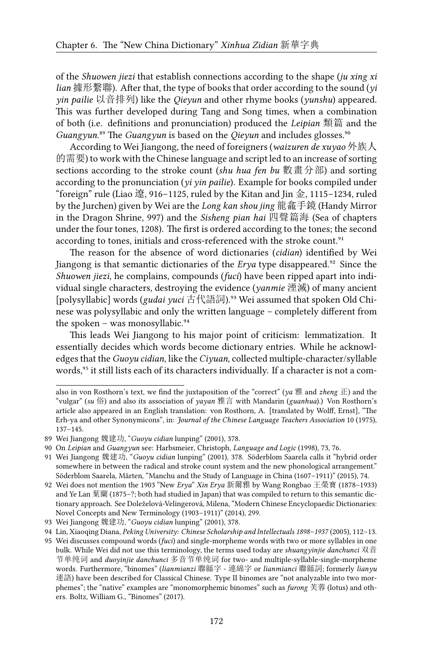of the *Shuowen jiezi* that establish connections according to the shape (*ju xing xi lian* 據形繫聯). After that, the type of books that order according to the sound (*yi yin pailie* 以音排列) like the *Qieyun* and other rhyme books (*yunshu*) appeared. This was further developed during Tang and Song times, when a combination of both (i.e. definitions and pronunciation) produced the *Leipian* 類篇 and the *Guangyun*.<sup>89</sup> The *Guangyun* is based on the *Qieyun* and includes glosses.<sup>90</sup>

According to Wei Jiangong, the need of foreigners (*waizuren de xuyao* 外族人 的需要) to work with the Chinese language and script led to an increase of sorting sections according to the stroke count (*shu hua fen bu* 數畫分部) and sorting according to the pronunciation (*yi yin pailie*). Example for books compiled under "foreign" rule (Liao 遼, 916–1125, ruled by the Kitan and Jin 金, 1115–1234, ruled by the Jurchen) given by Wei are the *Long kan shou jing* 龍龕手鏡 (Handy Mirror in the Dragon Shrine, 997) and the *Sisheng pian hai* 四聲篇海 (Sea of chapters under the four tones, 1208). The first is ordered according to the tones; the second according to tones, initials and cross-referenced with the stroke count.<sup>91</sup>

The reason for the absence of word dictionaries (*cidian*) identified by Wei Jiangong is that semantic dictionaries of the *Erya* type disappeared.<sup>92</sup> Since the *Shuowen jiezi*, he complains, compounds (*fuci*) have been ripped apart into individual single characters, destroying the evidence (*yanmie* 湮滅) of many ancient [polysyllabic] words (*gudai yuci* 古代語詞).<sup>93</sup> Wei assumed that spoken Old Chinese was polysyllabic and only the written language – completely different from the spoken - was monosyllabic.<sup>94</sup>

This leads Wei Jiangong to his major point of criticism: lemmatization. It essentially decides which words become dictionary entries. While he acknowledges that the *Guoyu cidian*, like the *Ciyuan*, collected multiple-character/syllable words,<sup>95</sup> it still lists each of its characters individually. If a character is not a com-

also in von Rosthorn's text, we find the juxtaposition of the "correct" (*ya* 雅 and *zheng* 正) and the "vulgar" (*su* 俗) and also its association of *yayan* 雅言 with Mandarin (*guanhua*).) Von Rosthorn's article also appeared in an English translation: von Rosthorn, A. [translated by Wolff, Ernst], "The Erh-ya and other Synonymicons", in: *Journal of the Chinese Language Teachers Association* 10 (1975), 137–145.

<sup>89</sup> Wei Jiangong 魏建功, "*Guoyu cidian* lunping" (2001), 378.

<sup>90</sup> On *Leipian* and *Guangyun* see: Harbsmeier, Christoph, *Language and Logic* (1998), 73, 76.

<sup>91</sup> Wei Jiangong 魏建功, "*Guoyu cidian* lunping" (2001), 378. Söderblom Saarela calls it "hybrid order somewhere in between the radical and stroke count system and the new phonological arrangement." Söderblom Saarela, Mårten, "Manchu and the Study of Language in China (1607–1911)" (2015), 74.

<sup>92</sup> Wei does not mention the 1903 "New *Erya*" *Xin Erya* 新爾雅 by Wang Rongbao 王榮寶 (1878–1933) and Ye Lan 葉蘭 (1875–?; both had studied in Japan) that was compiled to return to this semantic dictionary approach. See Doleželová-Velingerová, Milena, "Modern Chinese Encyclopaedic Dictionaries: Novel Concepts and New Terminology (1903–1911)" (2014), 299.

<sup>93</sup> Wei Jiangong 魏建功, "*Guoyu cidian* lunping" (2001), 378.

<sup>94</sup> Lin, Xiaoqing Diana, *Peking University: Chinese Scholarship and Intellectuals 1898–1937* (2005), 112–13.

<sup>95</sup> Wei discusses compound words (*fuci*) and single-morpheme words with two or more syllables in one bulk. While Wei did not use this terminology, the terms used today are *shuangyinjie danchunci* 双音 节单纯词 and *duoyinjie danchunci* 多音节单纯词 for two- and multiple-syllable-single-morpheme words. Furthermore, "binomes" (*lianmianzi* 聯緜字 - 連綿字 or *lianmianci* 聯緜詞; formerly *lianyu* 連語) have been described for Classical Chinese. Type II binomes are "not analyzable into two morphemes"; the "native" examples are "monomorphemic binomes" such as *furong* 芙蓉 (lotus) and others. Boltz, William G., "Binomes" (2017).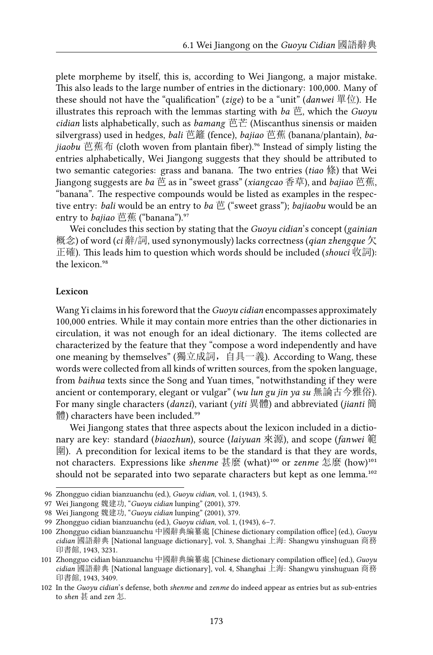plete morpheme by itself, this is, according to Wei Jiangong, a major mistake. This also leads to the large number of entries in the dictionary: 100,000. Many of these should not have the "qualification" (*zige*) to be a "unit" (*danwei* 單位). He illustrates this reproach with the lemmas starting with *ba* 芭, which the *Guoyu cidian* lists alphabetically, such as *bamang* 芭芒 (Miscanthus sinensis or maiden silvergrass) used in hedges, *bali* 芭籬 (fence), *bajiao* 芭蕉 (banana/plantain), *bajiaobu* 芭蕉布 (cloth woven from plantain fiber).⁹⁶ Instead of simply listing the entries alphabetically, Wei Jiangong suggests that they should be attributed to two semantic categories: grass and banana. The two entries (*tiao* 條) that Wei Jiangong suggests are *ba* 芭 as in "sweet grass" (*xiangcao* 香草), and *bajiao* 芭蕉, "banana". The respective compounds would be listed as examples in the respective entry: *bali* would be an entry to *ba* 芭 ("sweet grass"); *bajiaobu* would be an entry to *bajiao* 芭蕉 ("banana").<sup>97</sup>

Wei concludes this section by stating that the *Guoyu cidian*'s concept (*gainian* 概念) of word (*ci* 辭/詞, used synonymously) lacks correctness (*qian zhengque* 欠 正確). This leads him to question which words should be included (*shouci* 收詞): the lexicon.<sup>98</sup>

#### **Lexicon**

Wang Yi claims in his foreword that the *Guoyu cidian* encompasses approximately 100,000 entries. While it may contain more entries than the other dictionaries in circulation, it was not enough for an ideal dictionary. The items collected are characterized by the feature that they "compose a word independently and have one meaning by themselves" (獨立成詞,自具一義). According to Wang, these words were collected from all kinds of written sources, from the spoken language, from *baihua* texts since the Song and Yuan times, "notwithstanding if they were ancient or contemporary, elegant or vulgar" (*wu lun gu jin ya su* 無論古今雅俗). For many single characters (*danzi*), variant (*yiti* 異體) and abbreviated (*jianti* 簡 體) characters have been included.<sup>99</sup>

Wei Jiangong states that three aspects about the lexicon included in a dictionary are key: standard (*biaozhun*), source (*laiyuan* 來源), and scope (*fanwei* 範  $\mathbb{E}$ ). A precondition for lexical items to be the standard is that they are words, not characters. Expressions like *shenme* 甚麼 (what)<sup>100</sup> or *zenme* 怎麼 (how)<sup>101</sup> should not be separated into two separate characters but kept as one lemma.<sup>102</sup>

<sup>96</sup> Zhongguo cidian bianzuanchu (ed.), *Guoyu cidian*, vol. 1, (1943), 5.

<sup>97</sup> Wei Jiangong 魏建功, "*Guoyu cidian* lunping" (2001), 379.

<sup>98</sup> Wei Jiangong 魏建功, "*Guoyu cidian* lunping" (2001), 379.

<sup>99</sup> Zhongguo cidian bianzuanchu (ed.), *Guoyu cidian*, vol. 1, (1943), 6–7.

<sup>100</sup> Zhongguo cidian bianzuanchu 中國辭典編纂處 [Chinese dictionary compilation office] (ed.), *Guoyu cidian* 國語辭典 [National language dictionary], vol. 3, Shanghai 上海: Shangwu yinshuguan 商務 印書館, 1943, 3231.

<sup>101</sup> Zhongguo cidian bianzuanchu 中國辭典編纂處 [Chinese dictionary compilation office] (ed.), *Guoyu cidian* 國語辭典 [National language dictionary], vol. 4, Shanghai 上海: Shangwu yinshuguan 商務 印書館, 1943, 3409.

<sup>102</sup> In the *Guoyu cidian*'s defense, both *shenme* and *zenme* do indeed appear as entries but as sub-entries to *shen* 甚 and *zen* 怎.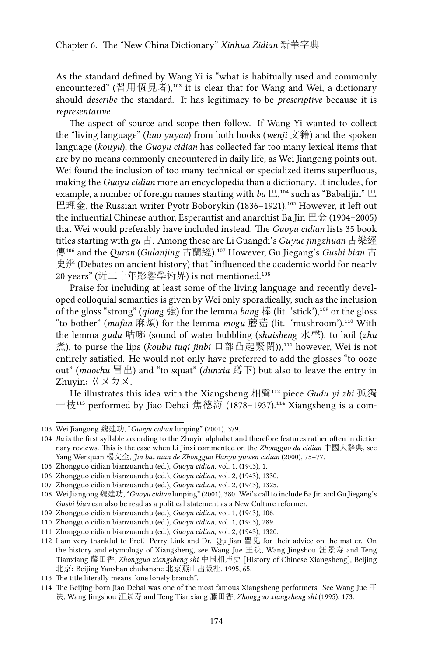As the standard defined by Wang Yi is "what is habitually used and commonly encountered" (習用恆見者),<sup>103</sup> it is clear that for Wang and Wei, a dictionary should *describe* the standard. It has legitimacy to be *prescriptive* because it is *representative*.

The aspect of source and scope then follow. If Wang Yi wanted to collect the "living language" (*huo yuyan*) from both books (*wenji* 文籍) and the spoken language (*kouyu*), the *Guoyu cidian* has collected far too many lexical items that are by no means commonly encountered in daily life, as Wei Jiangong points out. Wei found the inclusion of too many technical or specialized items superfluous, making the *Guoyu cidian* more an encyclopedia than a dictionary. It includes, for example, a number of foreign names starting with  $ba \boxplus$ ,<sup>104</sup> such as "Babalijin"  $\boxplus$ 巴理金, the Russian writer Pyotr Boborykin (1836-1921).<sup>105</sup> However, it left out the influential Chinese author, Esperantist and anarchist Ba Jin 巴金 (1904–2005) that Wei would preferably have included instead. The *Guoyu cidian* lists 35 book titles starting with *gu* 古. Among these are Li Guangdi's *Guyue jingzhuan* 古樂經 傳<sup>106</sup> and the *Quran* (*Gulanjing* 古蘭經).<sup>107</sup> However, Gu Jiegang's *Gushi bian* 古 史辨 (Debates on ancient history) that "influenced the academic world for nearly 20 years" (近二十年影響學術界) is not mentioned.<sup>108</sup>

Praise for including at least some of the living language and recently developed colloquial semantics is given by Wei only sporadically, such as the inclusion of the gloss "strong" (*qiang* 強) for the lemma *bang* 棒 (lit. 'stick'),<sup>109</sup> or the gloss "to bother" (mafan 麻煩) for the lemma mogu 蘑菇 (lit. 'mushroom').<sup>110</sup> With the lemma *gudu* 咕嘟 (sound of water bubbling (*shuisheng* 水聲), to boil (*zhu* 煮), to purse the lips (*koubu tuqi jinbi* 口部凸起緊閉)),<sup>111</sup> however, Wei is not entirely satisfied. He would not only have preferred to add the glosses "to ooze out" (*maochu* 冒出) and "to squat" (*dunxia* 蹲下) but also to leave the entry in Zhuyin: ㄍㄨㄉㄨ.

He illustrates this idea with the Xiangsheng 相聲<sup>112</sup> piece *Gudu yi zhi* 孤獨 一枝<sup>113</sup> performed by Jiao Dehai 焦德海 (1878–1937).<sup>114</sup> Xiangsheng is a com-

<sup>103</sup> Wei Jiangong 魏建功, "*Guoyu cidian* lunping" (2001), 379.

<sup>104</sup> *Ba* is the first syllable according to the Zhuyin alphabet and therefore features rather often in dictionary reviews. This is the case when Li Jinxi commented on the *Zhongguo da cidian* 中國大辭典, see Yang Wenquan 楊文全, *Jin bai nian de Zhongguo Hanyu yuwen cidian* (2000), 75–77.

<sup>105</sup> Zhongguo cidian bianzuanchu (ed.), *Guoyu cidian*, vol. 1, (1943), 1.

<sup>106</sup> Zhongguo cidian bianzuanchu (ed.), *Guoyu cidian*, vol. 2, (1943), 1330.

<sup>107</sup> Zhongguo cidian bianzuanchu (ed.), *Guoyu cidian*, vol. 2, (1943), 1325.

<sup>108</sup> Wei Jiangong 魏建功, "*Guoyu cidian* lunping" (2001), 380. Wei's call to include Ba Jin and Gu Jiegang's *Gushi bian* can also be read as a political statement as a New Culture reformer.

<sup>109</sup> Zhongguo cidian bianzuanchu (ed.), *Guoyu cidian*, vol. 1, (1943), 106.

<sup>110</sup> Zhongguo cidian bianzuanchu (ed.), *Guoyu cidian*, vol. 1, (1943), 289.

<sup>111</sup> Zhongguo cidian bianzuanchu (ed.), *Guoyu cidian*, vol. 2, (1943), 1320.

<sup>112</sup> I am very thankful to Prof. Perry Link and Dr. Qu Jian 瞿见 for their advice on the matter. On the history and etymology of Xiangsheng, see Wang Jue 王决, Wang Jingshou 汪景寿 and Teng Tianxiang 藤田香, *Zhongguo xiangsheng shi* 中国相声史 [History of Chinese Xiangsheng], Beijing 北京: Beijing Yanshan chubanshe 北京燕山出版社, 1995, 65.

<sup>113</sup> The title literally means "one lonely branch".

<sup>114</sup> The Beijing-born Jiao Dehai was one of the most famous Xiangsheng performers. See Wang Jue  $\pm$ 决, Wang Jingshou 汪景寿 and Teng Tianxiang 藤田香, *Zhongguo xiangsheng shi* (1995), 173.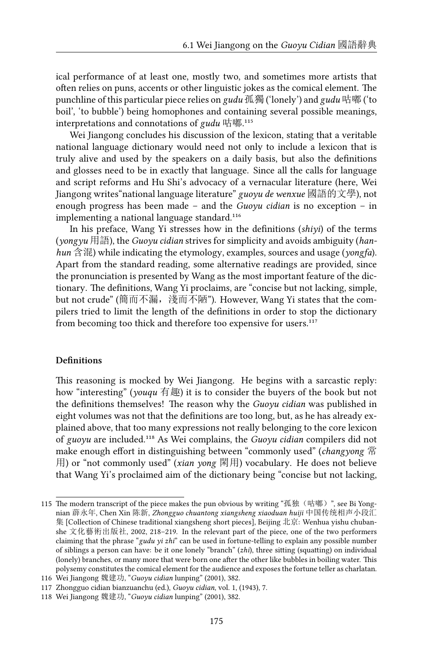ical performance of at least one, mostly two, and sometimes more artists that often relies on puns, accents or other linguistic jokes as the comical element. The punchline of this particular piece relies on *gudu* 孤獨 ('lonely') and *gudu* 咕嘟 ('to boil', 'to bubble') being homophones and containing several possible meanings, interpretations and connotations of *gudu* 咕嘟.<sup>115</sup>

Wei Jiangong concludes his discussion of the lexicon, stating that a veritable national language dictionary would need not only to include a lexicon that is truly alive and used by the speakers on a daily basis, but also the definitions and glosses need to be in exactly that language. Since all the calls for language and script reforms and Hu Shi's advocacy of a vernacular literature (here, Wei Jiangong writes"national language literature" *guoyu de wenxue* 國語的文學), not enough progress has been made – and the *Guoyu cidian* is no exception – in implementing a national language standard.<sup>116</sup>

In his preface, Wang Yi stresses how in the definitions (*shiyi*) of the terms (*yongyu* 用語), the *Guoyu cidian* strives for simplicity and avoids ambiguity (*hanhun* 含混) while indicating the etymology, examples, sources and usage (*yongfa*). Apart from the standard reading, some alternative readings are provided, since the pronunciation is presented by Wang as the most important feature of the dictionary. The definitions, Wang Yi proclaims, are "concise but not lacking, simple, but not crude" (簡而不漏, 淺而不陋"). However, Wang Yi states that the compilers tried to limit the length of the definitions in order to stop the dictionary from becoming too thick and therefore too expensive for users.<sup>117</sup>

#### **Definitions**

This reasoning is mocked by Wei Jiangong. He begins with a sarcastic reply: how "interesting" (*youqu* 有趣) it is to consider the buyers of the book but not the definitions themselves! The reason why the *Guoyu cidian* was published in eight volumes was not that the definitions are too long, but, as he has already explained above, that too many expressions not really belonging to the core lexicon of *guoyu* are included.<sup>118</sup> As Wei complains, the *Guoyu cidian* compilers did not make enough effort in distinguishing between "commonly used" (*changyong* 常 用) or "not commonly used" (*xian yong* 閑用) vocabulary. He does not believe that Wang Yi's proclaimed aim of the dictionary being "concise but not lacking,

<sup>115</sup> The modern transcript of the piece makes the pun obvious by writing "孤独 (咕嘟)", see Bi Yongnian 薜永年, Chen Xin 陈新, *Zhongguo chuantong xiangsheng xiaoduan huiji* 中国传统相声小段汇 集 [Collection of Chinese traditional xiangsheng short pieces], Beijing 北京: Wenhua yishu chubanshe 文化藝術出版社, 2002, 218–219. In the relevant part of the piece, one of the two performers claiming that the phrase "*gudu yi zhi*" can be used in fortune-telling to explain any possible number of siblings a person can have: be it one lonely "branch" (*zhi*), three sitting (squatting) on individual (lonely) branches, or many more that were born one after the other like bubbles in boiling water. This polysemy constitutes the comical element for the audience and exposes the fortune teller as charlatan.

<sup>116</sup> Wei Jiangong 魏建功, "*Guoyu cidian* lunping" (2001), 382.

<sup>117</sup> Zhongguo cidian bianzuanchu (ed.), *Guoyu cidian*, vol. 1, (1943), 7.

<sup>118</sup> Wei Jiangong 魏建功, "*Guoyu cidian* lunping" (2001), 382.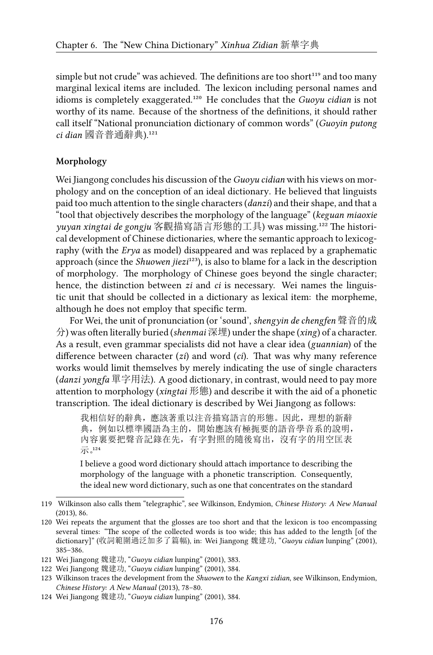simple but not crude" was achieved. The definitions are too short<sup>119</sup> and too many marginal lexical items are included. The lexicon including personal names and idioms is completely exaggerated.<sup>120</sup> He concludes that the *Guoyu cidian* is not worthy of its name. Because of the shortness of the definitions, it should rather call itself "National pronunciation dictionary of common words" (*Guoyin putong* ci dian 國音普通辭典).<sup>121</sup>

#### **Morphology**

Wei Jiangong concludes his discussion of the *Guoyu cidian* with his views on morphology and on the conception of an ideal dictionary. He believed that linguists paid too much attention to the single characters (*danzi*) and their shape, and that a "tool that objectively describes the morphology of the language" (*keguan miaoxie* yuyan xingtai de gongju 客觀描寫語言形態的工具) was missing.<sup>122</sup> The historical development of Chinese dictionaries, where the semantic approach to lexicography (with the *Erya* as model) disappeared and was replaced by a graphematic approach (since the *Shuowen jiezi*<sup>123</sup>), is also to blame for a lack in the description of morphology. The morphology of Chinese goes beyond the single character; hence, the distinction between *zi* and *ci* is necessary. Wei names the linguistic unit that should be collected in a dictionary as lexical item: the morpheme, although he does not employ that specific term.

For Wei, the unit of pronunciation (or 'sound', *shengyin de chengfen* 聲音的成 分) was often literally buried (*shenmai* 深埋) under the shape (*xing*) of a character. As a result, even grammar specialists did not have a clear idea (*guannian*) of the difference between character (*zi*) and word (*ci*). That was why many reference works would limit themselves by merely indicating the use of single characters (*danzi yongfa* 單字用法). A good dictionary, in contrast, would need to pay more attention to morphology (*xingtai* 形態) and describe it with the aid of a phonetic transcription. The ideal dictionary is described by Wei Jiangong as follows:

我相信好的辭典,應該著重以注音描寫語言的形態。因此,理想的新辭 典,例如以標準國語為主的,開始應該有極扼要的語音學音系的說明, 內容裏要把聲音記錄在先,有字對照的隨後寫出,沒有字的用空匡表 示。124

I believe a good word dictionary should attach importance to describing the morphology of the language with a phonetic transcription. Consequently, the ideal new word dictionary, such as one that concentrates on the standard

<sup>119</sup> Wilkinson also calls them "telegraphic", see Wilkinson, Endymion, *Chinese History: A New Manual* (2013), 86.

<sup>120</sup> Wei repeats the argument that the glosses are too short and that the lexicon is too encompassing several times: "The scope of the collected words is too wide; this has added to the length [of the dictionary]" (收詞範圍過泛加多了篇幅), in: Wei Jiangong 魏建功, "*Guoyu cidian* lunping" (2001), 385–386.

<sup>121</sup> Wei Jiangong 魏建功, "*Guoyu cidian* lunping" (2001), 383.

<sup>122</sup> Wei Jiangong 魏建功, "*Guoyu cidian* lunping" (2001), 384.

<sup>123</sup> Wilkinson traces the development from the *Shuowen* to the *Kangxi zidian*, see Wilkinson, Endymion, *Chinese History: A New Manual* (2013), 78–80.

<sup>124</sup> Wei Jiangong 魏建功, "*Guoyu cidian* lunping" (2001), 384.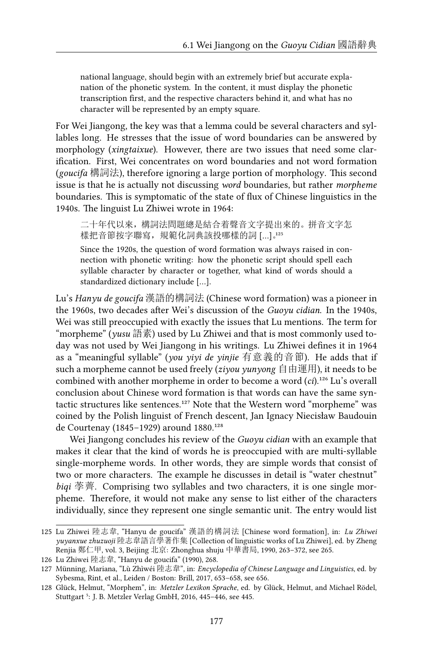national language, should begin with an extremely brief but accurate explanation of the phonetic system. In the content, it must display the phonetic transcription first, and the respective characters behind it, and what has no character will be represented by an empty square.

For Wei Jiangong, the key was that a lemma could be several characters and syllables long. He stresses that the issue of word boundaries can be answered by morphology (*xingtaixue*). However, there are two issues that need some clarification. First, Wei concentrates on word boundaries and not word formation (*goucifa* 構詞法), therefore ignoring a large portion of morphology. This second issue is that he is actually not discussing *word* boundaries, but rather *morpheme* boundaries. This is symptomatic of the state of flux of Chinese linguistics in the 1940s. The linguist Lu Zhiwei wrote in 1964:

二十年代以來,構詞法問題總是結合着聲音文字提出來的。拼音文字怎 樣把音節按字聯寫, 規範化詞典該投哪樣的詞 [...]。125

Since the 1920s, the question of word formation was always raised in connection with phonetic writing: how the phonetic script should spell each syllable character by character or together, what kind of words should a standardized dictionary include […].

Lu's *Hanyu de goucifa* 漢語的構詞法 (Chinese word formation) was a pioneer in the 1960s, two decades after Wei's discussion of the *Guoyu cidian*. In the 1940s, Wei was still preoccupied with exactly the issues that Lu mentions. The term for "morpheme" (*yusu* 語素) used by Lu Zhiwei and that is most commonly used today was not used by Wei Jiangong in his writings. Lu Zhiwei defines it in 1964 as a "meaningful syllable" (*you yiyi de yinjie* 有意義的音節). He adds that if such a morpheme cannot be used freely (*ziyou yunyong* 自由運用), it needs to be combined with another morpheme in order to become a word (*ci*).<sup>126</sup> Lu's overall conclusion about Chinese word formation is that words can have the same syntactic structures like sentences.<sup>127</sup> Note that the Western word "morpheme" was coined by the Polish linguist of French descent, Jan Ignacy Niecisław Baudouin de Courtenay (1845–1929) around 1880.<sup>128</sup>

Wei Jiangong concludes his review of the *Guoyu cidian* with an example that makes it clear that the kind of words he is preoccupied with are multi-syllable single-morpheme words. In other words, they are simple words that consist of two or more characters. The example he discusses in detail is "water chestnut" *biqi* 荸薺. Comprising two syllables and two characters, it is one single morpheme. Therefore, it would not make any sense to list either of the characters individually, since they represent one single semantic unit. The entry would list

<sup>125</sup> Lu Zhiwei 陸志韋, "Hanyu de goucifa" 漢語的構詞法 [Chinese word formation], in: *Lu Zhiwei yuyanxue zhuzuoji* 陸志韋語言學著作集 [Collection of linguistic works of Lu Zhiwei], ed. by Zheng Renjia 鄭仁甲, vol. 3, Beijing 北京: Zhonghua shuju 中華書局, 1990, 263–372, see 265.

<sup>126</sup> Lu Zhiwei 陸志韋, "Hanyu de goucifa" (1990), 268.

<sup>127</sup> Münning, Mariana, "Lù Zhìwéi 陸志韋", in: *Encyclopedia of Chinese Language and Linguistics*, ed. by Sybesma, Rint, et al., Leiden / Boston: Brill, 2017, 653–658, see 656.

<sup>128</sup> Glück, Helmut, "Morphem", in: *Metzler Lexikon Sprache*, ed. by Glück, Helmut, and Michael Rödel, Stuttgart<sup>5</sup>: J. B. Metzler Verlag GmbH, 2016, 445-446, see 445.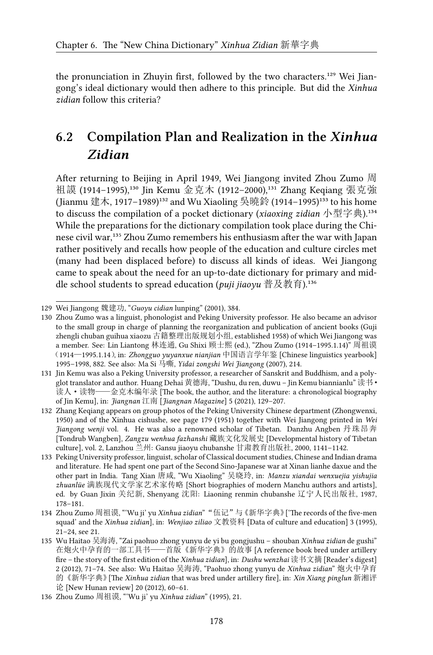the pronunciation in Zhuyin first, followed by the two characters.<sup>129</sup> Wei Jiangong's ideal dictionary would then adhere to this principle. But did the *Xinhua zidian* follow this criteria?

# **6.2 Compilation Plan and Realization in the** *Xinhua Zidian*

After returning to Beijing in April 1949, Wei Jiangong invited Zhou Zumo 周 祖謨 (1914-1995),<sup>130</sup> Jin Kemu 金克木 (1912-2000),<sup>131</sup> Zhang Keqiang 張克強 (Jianmu 建木, 1917–1989)<sup>132</sup> and Wu Xiaoling 吳曉鈴 (1914–1995)<sup>133</sup> to his home to discuss the compilation of a pocket dictionary (*xiaoxing zidian* 小型字典).<sup>134</sup> While the preparations for the dictionary compilation took place during the Chinese civil war,<sup>135</sup> Zhou Zumo remembers his enthusiasm after the war with Japan rather positively and recalls how people of the education and culture circles met (many had been displaced before) to discuss all kinds of ideas. Wei Jiangong came to speak about the need for an up-to-date dictionary for primary and middle school students to spread education (*puji jiaoyu* 普及教育).<sup>136</sup>

<sup>129</sup> Wei Jiangong 魏建功, "*Guoyu cidian* lunping" (2001), 384.

<sup>130</sup> Zhou Zumo was a linguist, phonologist and Peking University professor. He also became an advisor to the small group in charge of planning the reorganization and publication of ancient books (Guji zhengli chuban guihua xiaozu 古籍整理出版规划小组, established 1958) of which Wei Jiangong was a member. See: Lin Liantong 林连通, Gu Shixi 顾士熙 (ed.), "Zhou Zumo (1914–1995.1.14)" 周祖谟 (1914—1995.1.14), in: *Zhongguo yuyanxue nianjian* 中国语言学年鉴 [Chinese linguistics yearbook] 1995–1998, 882. See also: Ma Si 马嘶, *Yidai zongshi Wei Jiangong* (2007), 214.

<sup>131</sup> Jin Kemu was also a Peking University professor, a researcher of Sanskrit and Buddhism, and a polyglot translator and author. Huang Dehai 黄德海, "Dushu, du ren, duwu – Jin Kemu biannianlu" 读书· 读人·读物——金克木编年录 [The book, the author, and the literature: a chronological biography of Jin Kemu], in: *Jiangnan* 江南 [*Jiangnan Magazine*] 5 (2021), 129–207.

<sup>132</sup> Zhang Keqiang appears on group photos of the Peking University Chinese department (Zhongwenxi, 1950) and of the Xinhua cishushe, see page 179 (1951) together with Wei Jiangong printed in *Wei Jiangong wenji* vol. 4. He was also a renowned scholar of Tibetan. Danzhu Angben 丹珠昂奔 [Tondrub Wangben], *Zangzu wenhua fazhanshi* 藏族文化发展史 [Developmental history of Tibetan culture], vol. 2, Lanzhou 兰州: Gansu jiaoyu chubanshe 甘肃教育出版社, 2000, 1141–1142.

<sup>133</sup> Peking University professor, linguist, scholar of Classical document studies, Chinese and Indian drama and literature. He had spent one part of the Second Sino-Japanese war at Xinan lianhe daxue and the other part in India. Tang Xian 唐咸, "Wu Xiaoling" 吴晓玲, in: *Manzu xiandai wenxuejia yishujia zhuanlüe* 满族现代文学家艺术家传略 [Short biographies of modern Manchu authors and artists], ed. by Guan Jixin 关纪新, Shenyang 沈阳: Liaoning renmin chubanshe 辽宁人民出版社, 1987, 178–181.

<sup>134</sup> Zhou Zumo 周祖谟, "'Wu ji' yu *Xinhua zidian*""伍记"与《新华字典》['The records of the five-men squad' and the *Xinhua zidian*], in: *Wenjiao ziliao* 文教资料 [Data of culture and education] 3 (1995), 21–24, see 21.

<sup>135</sup> Wu Haitao 吴海涛, "Zai paohuo zhong yunyu de yi bu gongjushu – shouban *Xinhua zidian* de gushi" 在炮火中孕育的一部工具书——首版《新华字典》的故事 [A reference book bred under artillery fire – the story of the first edition of the *Xinhua zidian*], in: *Dushu wenzhai* 读书文摘 [Reader's digest] 2 (2012), 71–74. See also: Wu Haitao 吴海涛, "Paohuo zhong yunyu de *Xinhua zidian*" 炮火中孕育 的《新华字典》[The *Xinhua zidian* that was bred under artillery fire], in: *Xin Xiang pinglun* 新湘评 论 [New Hunan review] 20 (2012), 60–61.

<sup>136</sup> Zhou Zumo 周祖谟, "'Wu ji' yu *Xinhua zidian*" (1995), 21.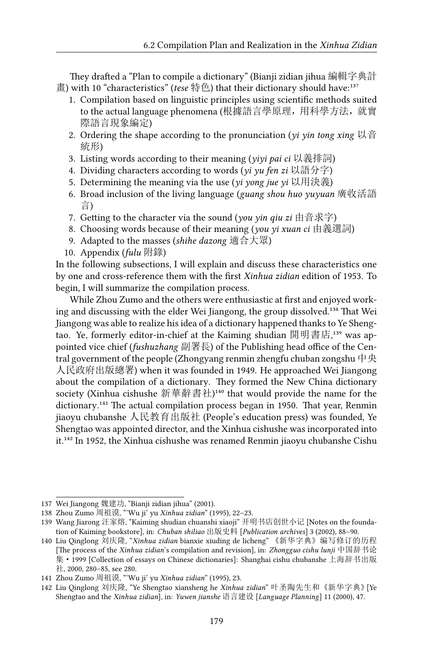They drafted a "Plan to compile a dictionary" (Bianji zidian jihua 編輯字典計 畫) with 10 "characteristics" (*tese* 特色) that their dictionary should have:<sup>137</sup>

- 1. Compilation based on linguistic principles using scientific methods suited to the actual language phenomena (根據語言學原理,用科學方法,就實 際語言現象編定)
- 2. Ordering the shape according to the pronunciation (*yi yin tong xing* 以音 統形)
- 3. Listing words according to their meaning (*yiyi pai ci* 以義排詞)
- 4. Dividing characters according to words (*yi yu fen zi* 以語分字)
- 5. Determining the meaning via the use (*yi yong jue yi* 以用決義)
- 6. Broad inclusion of the living language (*guang shou huo yuyuan* 廣收活語 言)
- 7. Getting to the character via the sound (*you yin qiu zi* 由音求字)
- 8. Choosing words because of their meaning (*you yi xuan ci* 由義選詞)
- 9. Adapted to the masses (*shihe dazong* 適合大眾)
- 10. Appendix (*fulu* 附錄)

In the following subsections, I will explain and discuss these characteristics one by one and cross-reference them with the first *Xinhua zidian* edition of 1953. To begin, I will summarize the compilation process.

While Zhou Zumo and the others were enthusiastic at first and enjoyed working and discussing with the elder Wei Jiangong, the group dissolved.<sup>138</sup> That Wei Jiangong was able to realize his idea of a dictionary happened thanks to Ye Shengtao. Ye, formerly editor-in-chief at the Kaiming shudian 開明書店,<sup>139</sup> was appointed vice chief (*fushuzhang* 副署長) of the Publishing head office of the Central government of the people (Zhongyang renmin zhengfu chuban zongshu 中央 人民政府出版總署) when it was founded in 1949. He approached Wei Jiangong about the compilation of a dictionary. They formed the New China dictionary society (Xinhua cishushe 新華辭書社)<sup>140</sup> that would provide the name for the dictionary.<sup>141</sup> The actual compilation process began in 1950. That year, Renmin jiaoyu chubanshe 人民教育出版社 (People's education press) was founded, Ye Shengtao was appointed director, and the Xinhua cishushe was incorporated into it.<sup>142</sup> In 1952, the Xinhua cishushe was renamed Renmin jiaoyu chubanshe Cishu

<sup>137</sup> Wei Jiangong 魏建功, "Bianji zidian jihua" (2001).

<sup>138</sup> Zhou Zumo 周祖谟, "'Wu ji' yu *Xinhua zidian*" (1995), 22–23.

<sup>139</sup> Wang Jiarong 汪家熔, "Kaiming shudian chuanshi xiaoji" 开明书店创世小记 [Notes on the foundation of Kaiming bookstore], in: *Chuban shiliao* 出版史料 [*Publication archives*] 3 (2002), 88–90.

<sup>140</sup> Liu Qinglong 刘庆隆, "*Xinhua zidian* bianxie xiuding de licheng" 《新华字典》编写修订的历程 [The process of the *Xinhua zidian*'s compilation and revision], in: *Zhongguo cishu lunji* 中国辞书论 集·1999 [Collection of essays on Chinese dictionaries]: Shanghai cishu chubanshe 上海辞书出版 社, 2000, 280–85, see 280.

<sup>141</sup> Zhou Zumo 周祖谟, "'Wu ji' yu *Xinhua zidian*" (1995), 23.

<sup>142</sup> Liu Qinglong 刘庆隆, "Ye Shengtao xiansheng he *Xinhua zidian*" 叶圣陶先生和《新华字典》[Ye Shengtao and the *Xinhua zidian*], in: *Yuwen jianshe* 语言建设 [*Language Planning*] 11 (2000), 47.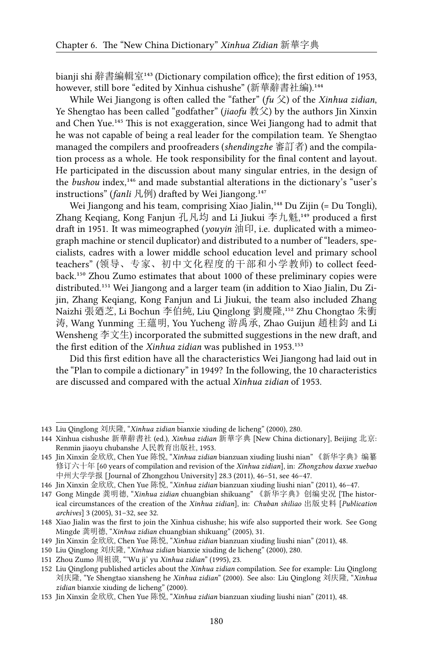bianji shi 辭書編輯室<sup>143</sup> (Dictionary compilation office); the first edition of 1953, however, still bore "edited by Xinhua cishushe" (新華辭書社編).<sup>144</sup>

While Wei Jiangong is often called the "father" (*fu* 父) of the *Xinhua zidian*, Ye Shengtao has been called "godfather" (*jiaofu* 教父) by the authors Jin Xinxin and Chen Yue.<sup>145</sup> This is not exaggeration, since Wei Jiangong had to admit that he was not capable of being a real leader for the compilation team. Ye Shengtao managed the compilers and proofreaders (*shendingzhe* 審訂者) and the compilation process as a whole. He took responsibility for the final content and layout. He participated in the discussion about many singular entries, in the design of the *bushou* index,<sup>146</sup> and made substantial alterations in the dictionary's "user's instructions" (*fanli* 凡例) drafted by Wei Jiangong.<sup>147</sup>

Wei Jiangong and his team, comprising Xiao Jialin,<sup>148</sup> Du Zijin (= Du Tongli), Zhang Keqiang, Kong Fanjun 孔凡均 and Li Jiukui 李九魁,<sup>149</sup> produced a first draft in 1951. It was mimeographed (*youyin* 油印, i.e. duplicated with a mimeograph machine or stencil duplicator) and distributed to a number of "leaders, specialists, cadres with a lower middle school education level and primary school teachers" (领导、专家、初中文化程度的干部和小学教师) to collect feedback.<sup>150</sup> Zhou Zumo estimates that about 1000 of these preliminary copies were distributed.<sup>151</sup> Wei Jiangong and a larger team (in addition to Xiao Jialin, Du Zijin, Zhang Keqiang, Kong Fanjun and Li Jiukui, the team also included Zhang Naizhi 張廼芝, Li Bochun 李伯純, Liu Qinglong 劉慶隆,<sup>152</sup> Zhu Chongtao 朱衝 涛, Wang Yunming 王蘊明, You Yucheng 游禹承, Zhao Guijun 趙桂鈞 and Li Wensheng 李文生) incorporated the submitted suggestions in the new draft, and the first edition of the *Xinhua zidian* was published in 1953.<sup>153</sup>

Did this first edition have all the characteristics Wei Jiangong had laid out in the "Plan to compile a dictionary" in 1949? In the following, the 10 characteristics are discussed and compared with the actual *Xinhua zidian* of 1953.

<sup>143</sup> Liu Qinglong 刘庆隆, "*Xinhua zidian* bianxie xiuding de licheng" (2000), 280.

<sup>144</sup> Xinhua cishushe 新華辭書社 (ed.), *Xinhua zidian* 新華字典 [New China dictionary], Beijing 北京: Renmin jiaoyu chubanshe 人民教育出版社, 1953.

<sup>145</sup> Jin Xinxin 金欣欣, Chen Yue 陈悦, "*Xinhua zidian* bianzuan xiuding liushi nian" 《新华字典》编纂 修订六十年 [60 years of compilation and revision of the *Xinhua zidian*], in: *Zhongzhou daxue xuebao* 中州大学学报 [Journal of Zhongzhou University] 28.3 (2011), 46–51, see 46–47.

<sup>146</sup> Jin Xinxin 金欣欣, Chen Yue 陈悦, "*Xinhua zidian* bianzuan xiuding liushi nian" (2011), 46–47.

<sup>147</sup> Gong Mingde 龚明德, "*Xinhua zidian* chuangbian shikuang" 《新华字典》创编史况 [The historical circumstances of the creation of the *Xinhua zidian*], in: *Chuban shiliao* 出版史料 [*Publication archives*] 3 (2005), 31–32, see 32.

<sup>148</sup> Xiao Jialin was the first to join the Xinhua cishushe; his wife also supported their work. See Gong Mingde 龚明德, "*Xinhua zidian* chuangbian shikuang" (2005), 31.

<sup>149</sup> Jin Xinxin 金欣欣, Chen Yue 陈悦, "*Xinhua zidian* bianzuan xiuding liushi nian" (2011), 48.

<sup>150</sup> Liu Qinglong 刘庆隆, "*Xinhua zidian* bianxie xiuding de licheng" (2000), 280.

<sup>151</sup> Zhou Zumo 周祖谟, "'Wu ji' yu *Xinhua zidian*" (1995), 23.

<sup>152</sup> Liu Qinglong published articles about the *Xinhua zidian* compilation. See for example: Liu Qinglong 刘庆隆, "Ye Shengtao xiansheng he *Xinhua zidian*" (2000). See also: Liu Qinglong 刘庆隆, "*Xinhua zidian* bianxie xiuding de licheng" (2000).

<sup>153</sup> Jin Xinxin 金欣欣, Chen Yue 陈悦, "*Xinhua zidian* bianzuan xiuding liushi nian" (2011), 48.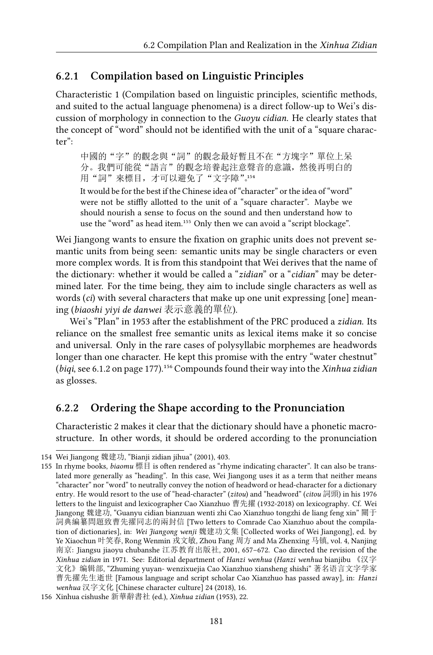#### **6.2.1 Compilation based on Linguistic Principles**

Characteristic 1 (Compilation based on linguistic principles, scientific methods, and suited to the actual language phenomena) is a direct follow-up to Wei's discussion of morphology in connection to the *Guoyu cidian*. He clearly states that the concept of "word" should not be identified with the unit of a "square character":

中國的"字"的觀念與"詞"的觀念最好暫且不在"方塊字"單位上呆 分。我們可能從"語言"的觀念培養起注意聲音的意識,然後再明白的 用"詞"來標目,才可以避免了"文字障"。154

It would be for the best if the Chinese idea of "character" or the idea of "word" were not be stiffly allotted to the unit of a "square character". Maybe we should nourish a sense to focus on the sound and then understand how to use the "word" as head item.<sup>155</sup> Only then we can avoid a "script blockage".

Wei Jiangong wants to ensure the fixation on graphic units does not prevent semantic units from being seen: semantic units may be single characters or even more complex words. It is from this standpoint that Wei derives that the name of the dictionary: whether it would be called a "*zidian*" or a "*cidian*" may be determined later. For the time being, they aim to include single characters as well as words (*ci*) with several characters that make up one unit expressing [one] meaning (*biaoshi yiyi de danwei* 表示意義的單位).

Wei's "Plan" in 1953 after the establishment of the PRC produced a *zidian*. Its reliance on the smallest free semantic units as lexical items make it so concise and universal. Only in the rare cases of polysyllabic morphemes are headwords longer than one character. He kept this promise with the entry "water chestnut" (*biqi*, see 6.1.2 on page 177).<sup>156</sup> Compounds found their way into the *Xinhua zidian* as glosses.

#### **6.2.2 Ordering the Shape according to the Pronunciation**

Characteristic 2 makes it clear that the dictionary should have a phonetic macrostructure. In other words, it should be ordered according to the pronunciation

<sup>154</sup> Wei Jiangong 魏建功, "Bianji zidian jihua" (2001), 403.

<sup>155</sup> In rhyme books, *biaomu* 標目 is often rendered as "rhyme indicating character". It can also be translated more generally as "heading". In this case, Wei Jiangong uses it as a term that neither means "character" nor "word" to neutrally convey the notion of headword or head-character for a dictionary entry. He would resort to the use of "head-character" (*zitou*) and "headword" (*citou* 詞頭) in his 1976 letters to the linguist and lexicographer Cao Xianzhuo 曹先擢 (1932-2018) on lexicography. Cf. Wei Jiangong 魏建功, "Guanyu cidian bianzuan wenti zhi Cao Xianzhuo tongzhi de liang feng xin" 關于 詞典編纂問題致曹先擢同志的兩封信 [Two letters to Comrade Cao Xianzhuo about the compilation of dictionaries], in: *Wei Jiangong wenji* 魏建功文集 [Collected works of Wei Jiangong], ed. by Ye Xiaochun 叶笑春, Rong Wenmin 戎文敏, Zhou Fang 周方 and Ma Zhenxing 马镇, vol. 4, Nanjing 南京: Jiangsu jiaoyu chubanshe 江苏教育出版社, 2001, 657–672. Cao directed the revision of the *Xinhua zidian* in 1971. See: Editorial department of *Hanzi wenhua* (*Hanzi wenhua* bianjibu 《汉字 文化》编辑部, "Zhuming yuyan- wenzixuejia Cao Xianzhuo xiansheng shishi" 著名语言文字学家 曹先擢先生逝世 [Famous language and script scholar Cao Xianzhuo has passed away], in: *Hanzi wenhua* 汉字文化 [Chinese character culture] 24 (2018), 16.

<sup>156</sup> Xinhua cishushe 新華辭書社 (ed.), *Xinhua zidian* (1953), 22.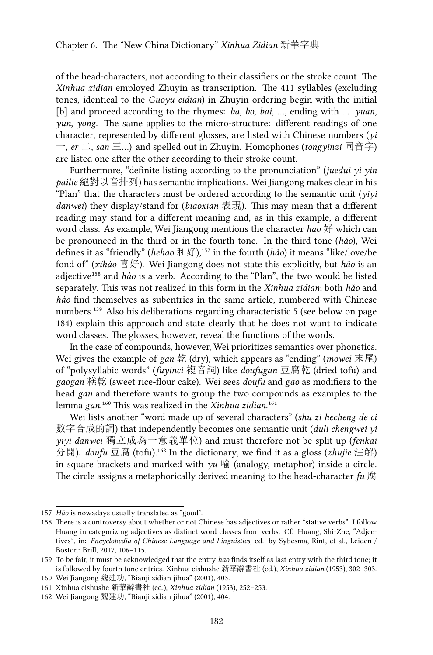of the head-characters, not according to their classifiers or the stroke count. The *Xinhua zidian* employed Zhuyin as transcription. The 411 syllables (excluding tones, identical to the *Guoyu cidian*) in Zhuyin ordering begin with the initial [b] and proceed according to the rhymes: *ba*, *bo*, *bai*, …, ending with … *yuan*, *yun*, *yong*. The same applies to the micro-structure: different readings of one character, represented by different glosses, are listed with Chinese numbers (*yi* 一, *er* 二, *san* 三…) and spelled out in Zhuyin. Homophones (*tongyinzi* 同音字) are listed one after the other according to their stroke count.

Furthermore, "definite listing according to the pronunciation" (*juedui yi yin pailie* 絕對以音排列) has semantic implications. Wei Jiangong makes clear in his "Plan" that the characters must be ordered according to the semantic unit (*yiyi danwei*) they display/stand for (*biaoxian* 表現). This may mean that a different reading may stand for a different meaning and, as in this example, a different word class. As example, Wei Jiangong mentions the character *hao* 好 which can be pronounced in the third or in the fourth tone. In the third tone (*hǎo*), Wei defines it as "friendly" (*hehao* 和好),<sup>157</sup> in the fourth (*hào*) it means "like/love/be fond of" (*xǐhào* 喜好). Wei Jiangong does not state this explicitly, but *hǎo* is an adjective<sup>158</sup> and *hào* is a verb. According to the "Plan", the two would be listed separately. This was not realized in this form in the *Xinhua zidian*; both *hǎo* and *hào* find themselves as subentries in the same article, numbered with Chinese numbers.<sup>159</sup> Also his deliberations regarding characteristic 5 (see below on page 184) explain this approach and state clearly that he does not want to indicate word classes. The glosses, however, reveal the functions of the words.

In the case of compounds, however, Wei prioritizes semantics over phonetics. Wei gives the example of *gan* 乾 (dry), which appears as "ending" (*mowei* 末尾) of "polysyllabic words" (*fuyinci* 複音詞) like *doufugan* 豆腐乾 (dried tofu) and *gaogan* 糕乾 (sweet rice-flour cake). Wei sees *doufu* and *gao* as modifiers to the head *gan* and therefore wants to group the two compounds as examples to the lemma *gan.*<sup>160</sup> This was realized in the *Xinhua zidian*.<sup>161</sup>

Wei lists another "word made up of several characters" (*shu zi hecheng de ci* 數字合成的詞) that independently becomes one semantic unit (*duli chengwei yi yiyi danwei* 獨立成為一意義單位) and must therefore not be split up (*fenkai* 分開): *doufu* 豆腐 (tofu).<sup>162</sup> In the dictionary, we find it as a gloss (*zhujie* 注解) in square brackets and marked with *yu* 喻 (analogy, metaphor) inside a circle. The circle assigns a metaphorically derived meaning to the head-character *fu* 腐

<sup>157</sup> *Hǎo* is nowadays usually translated as "good".

<sup>158</sup> There is a controversy about whether or not Chinese has adjectives or rather "stative verbs". I follow Huang in categorizing adjectives as distinct word classes from verbs. Cf. Huang, Shi-Zhe, "Adjectives", in: *Encyclopedia of Chinese Language and Linguistics*, ed. by Sybesma, Rint, et al., Leiden / Boston: Brill, 2017, 106–115.

<sup>159</sup> To be fair, it must be acknowledged that the entry *hao* finds itself as last entry with the third tone; it is followed by fourth tone entries. Xinhua cishushe 新華辭書社 (ed.), *Xinhua zidian* (1953), 302–303. 160 Wei Jiangong 魏建功, "Bianji zidian jihua" (2001), 403.

<sup>161</sup> Xinhua cishushe 新華辭書社 (ed.), *Xinhua zidian* (1953), 252–253.

<sup>162</sup> Wei Jiangong 魏建功, "Bianji zidian jihua" (2001), 404.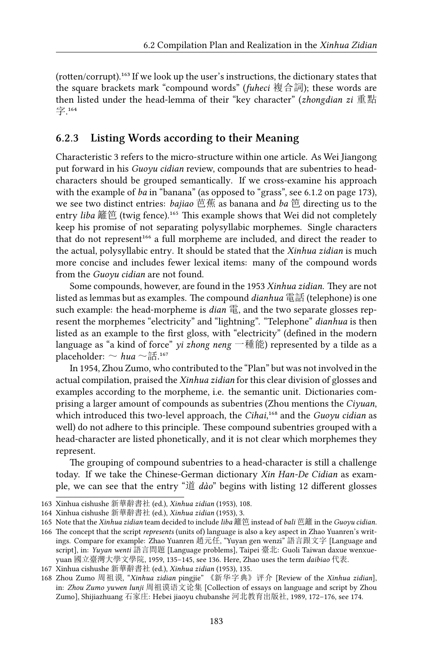(rotten/corrupt).<sup>163</sup> If we look up the user's instructions, the dictionary states that the square brackets mark "compound words" (*fuheci* 複合詞); these words are then listed under the head-lemma of their "key character" (*zhongdian zi* 重點 字.164

# **6.2.3 Listing Words according to their Meaning**

Characteristic 3 refers to the micro-structure within one article. As Wei Jiangong put forward in his *Guoyu cidian* review, compounds that are subentries to headcharacters should be grouped semantically. If we cross-examine his approach with the example of *ba* in "banana" (as opposed to "grass", see 6.1.2 on page 173), we see two distinct entries: *bajiao* 芭蕉 as banana and *ba* 笆 directing us to the entry *liba* 籬笆 (twig fence).<sup>165</sup> This example shows that Wei did not completely keep his promise of not separating polysyllabic morphemes. Single characters that do not represent<sup>166</sup> a full morpheme are included, and direct the reader to the actual, polysyllabic entry. It should be stated that the *Xinhua zidian* is much more concise and includes fewer lexical items: many of the compound words from the *Guoyu cidian* are not found.

Some compounds, however, are found in the 1953 *Xinhua zidian*. They are not listed as lemmas but as examples. The compound *dianhua* 電話 (telephone) is one such example: the head-morpheme is *dian* 電, and the two separate glosses represent the morphemes "electricity" and "lightning". "Telephone" *dianhua* is then listed as an example to the first gloss, with "electricity" (defined in the modern language as "a kind of force" *yi zhong neng* 一種能) represented by a tilde as a placeholder:  $\sim hua \sim$ 話.<sup>167</sup>

In 1954, Zhou Zumo, who contributed to the "Plan" but was not involved in the actual compilation, praised the *Xinhua zidian* for this clear division of glosses and examples according to the morpheme, i.e. the semantic unit. Dictionaries comprising a larger amount of compounds as subentries (Zhou mentions the *Ciyuan*, which introduced this two-level approach, the *Cihai*,<sup>168</sup> and the *Guoyu cidian* as well) do not adhere to this principle. These compound subentries grouped with a head-character are listed phonetically, and it is not clear which morphemes they represent.

The grouping of compound subentries to a head-character is still a challenge today. If we take the Chinese-German dictionary *Xin Han-De Cidian* as example, we can see that the entry "道 *dào*" begins with listing 12 different glosses

<sup>163</sup> Xinhua cishushe 新華辭書社 (ed.), *Xinhua zidian* (1953), 108.

<sup>164</sup> Xinhua cishushe 新華辭書社 (ed.), *Xinhua zidian* (1953), 3.

<sup>165</sup> Note that the *Xinhua zidian* team decided to include *liba* 籬笆 instead of *bali* 芭籬 in the *Guoyu cidian*.

<sup>166</sup> The concept that the script *represents* (units of) language is also a key aspect in Zhao Yuanren's writings. Compare for example: Zhao Yuanren 趙元任, "Yuyan gen wenzi" 語言跟文字 [Language and script], in: *Yuyan wenti* 語言問題 [Language problems], Taipei 臺北: Guoli Taiwan daxue wenxueyuan 國立臺灣大學文學院, 1959, 135–145, see 136. Here, Zhao uses the term *daibiao* 代表.

<sup>167</sup> Xinhua cishushe 新華辭書社 (ed.), *Xinhua zidian* (1953), 135.

<sup>168</sup> Zhou Zumo 周祖谟, "*Xinhua zidian* pingjie" 《新华字典》评介 [Review of the *Xinhua zidian*], in: *Zhou Zumo yuwen lunji* 周祖谟语文论集 [Collection of essays on language and script by Zhou Zumo], Shijiazhuang 石家庄: Hebei jiaoyu chubanshe 河北教育出版社, 1989, 172–176, see 174.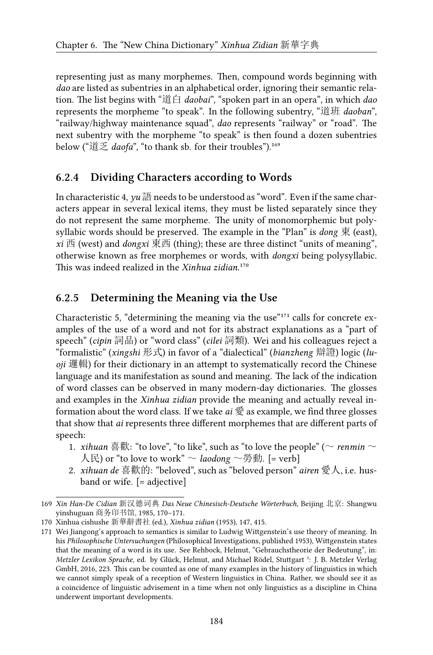representing just as many morphemes. Then, compound words beginning with *dao* are listed as subentries in an alphabetical order, ignoring their semantic relation. The list begins with "道白 *daobai*", "spoken part in an opera", in which *dao* represents the morpheme "to speak". In the following subentry, "道班 *daoban*", "railway/highway maintenance squad", *dao* represents "railway" or "road". The next subentry with the morpheme "to speak" is then found a dozen subentries below ("道乏 *daofa*", "to thank sb. for their troubles").<sup>169</sup>

#### **6.2.4 Dividing Characters according to Words**

In characteristic 4, *yu* 語 needs to be understood as "word". Even if the same characters appear in several lexical items, they must be listed separately since they do not represent the same morpheme. The unity of monomorphemic but polysyllabic words should be preserved. The example in the "Plan" is *dong* 東 (east), *xi* 西 (west) and *dongxi* 東西 (thing); these are three distinct "units of meaning", otherwise known as free morphemes or words, with *dongxi* being polysyllabic. This was indeed realized in the *Xinhua zidian*.<sup>170</sup>

#### **6.2.5 Determining the Meaning via the Use**

Characteristic 5, "determining the meaning via the use" $171$  calls for concrete examples of the use of a word and not for its abstract explanations as a "part of speech" (*cipin* 詞品) or "word class" (*cilei* 詞類). Wei and his colleagues reject a "formalistic" (*xingshi* 形式) in favor of a "dialectical" (*bianzheng* 辯證) logic (*luoji* 邏輯) for their dictionary in an attempt to systematically record the Chinese language and its manifestation as sound and meaning. The lack of the indication of word classes can be observed in many modern-day dictionaries. The glosses and examples in the *Xinhua zidian* provide the meaning and actually reveal information about the word class. If we take *ai* 愛 as example, we find three glosses that show that *ai* represents three different morphemes that are different parts of speech:

- 1. *xihuan* 喜歡: "to love", "to like", such as "to love the people" ( $\sim$  *renmin*  $\sim$  $\bigwedge \overline{\mathbb{R}}$ ) or "to love to work"  $\sim$  *laodong*  $\sim$  勞動. [= verb]
- 2. *xihuan de* 喜歡的: "beloved", such as "beloved person" *airen* 愛人, i.e. husband or wife. [= adjective]

<sup>169</sup> *Xin Han-De Cidian* 新汉德词典 *Das Neue Chinesisch-Deutsche Wörterbuch*, Beijing 北京: Shangwu yinshuguan 商务印书馆, 1985, 170–171.

<sup>170</sup> Xinhua cishushe 新華辭書社 (ed.), *Xinhua zidian* (1953), 147, 415.

<sup>171</sup> Wei Jiangong's approach to semantics is similar to Ludwig Wittgenstein's use theory of meaning. In his *Philosophische Untersuchungen* (Philosophical Investigations, published 1953), Wittgenstein states that the meaning of a word is its use. See Rehbock, Helmut, "Gebrauchstheorie der Bedeutung", in: *Metzler Lexikon Sprache*, ed. by Glück, Helmut, and Michael Rödel, Stuttgart ⁵: J. B. Metzler Verlag GmbH, 2016, 223. This can be counted as one of many examples in the history of linguistics in which we cannot simply speak of a reception of Western linguistics in China. Rather, we should see it as a coincidence of linguistic advisement in a time when not only linguistics as a discipline in China underwent important developments.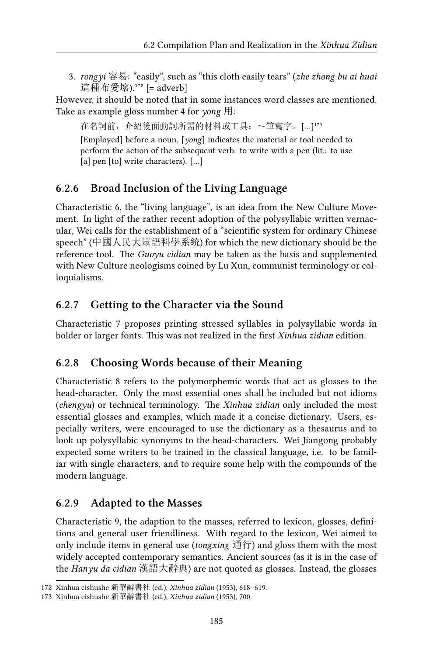3. *rongyi* 容易: "easily", such as "this cloth easily tears" (*zhe zhong bu ai huai* 這種布愛壞).<sup>172</sup> [= adverb]

However, it should be noted that in some instances word classes are mentioned. Take as example gloss number 4 for *yong* 用:

在名詞前,介紹後面動詞所需的材料或工具:~筆寫字。[…]173 [Employed] before a noun, [*yong*] indicates the material or tool needed to perform the action of the subsequent verb: to write with a pen (lit.: to use [a] pen [to] write characters). […]

# **6.2.6 Broad Inclusion of the Living Language**

Characteristic 6, the "living language", is an idea from the New Culture Movement. In light of the rather recent adoption of the polysyllabic written vernacular, Wei calls for the establishment of a "scientific system for ordinary Chinese speech" (中國人民大眾語科學系統) for which the new dictionary should be the reference tool. The *Guoyu cidian* may be taken as the basis and supplemented with New Culture neologisms coined by Lu Xun, communist terminology or colloquialisms.

# **6.2.7 Getting to the Character via the Sound**

Characteristic 7 proposes printing stressed syllables in polysyllabic words in bolder or larger fonts. This was not realized in the first *Xinhua zidian* edition.

# **6.2.8 Choosing Words because of their Meaning**

Characteristic 8 refers to the polymorphemic words that act as glosses to the head-character. Only the most essential ones shall be included but not idioms (*chengyu*) or technical terminology. The *Xinhua zidian* only included the most essential glosses and examples, which made it a concise dictionary. Users, especially writers, were encouraged to use the dictionary as a thesaurus and to look up polysyllabic synonyms to the head-characters. Wei Jiangong probably expected some writers to be trained in the classical language, i.e. to be familiar with single characters, and to require some help with the compounds of the modern language.

### **6.2.9 Adapted to the Masses**

Characteristic 9, the adaption to the masses, referred to lexicon, glosses, definitions and general user friendliness. With regard to the lexicon, Wei aimed to only include items in general use (*tongxing* 通行) and gloss them with the most widely accepted contemporary semantics. Ancient sources (as it is in the case of the *Hanyu da cidian* 漢語大辭典) are not quoted as glosses. Instead, the glosses

<sup>172</sup> Xinhua cishushe 新華辭書社 (ed.), *Xinhua zidian* (1953), 618–619.

<sup>173</sup> Xinhua cishushe 新華辭書社 (ed.), *Xinhua zidian* (1953), 700.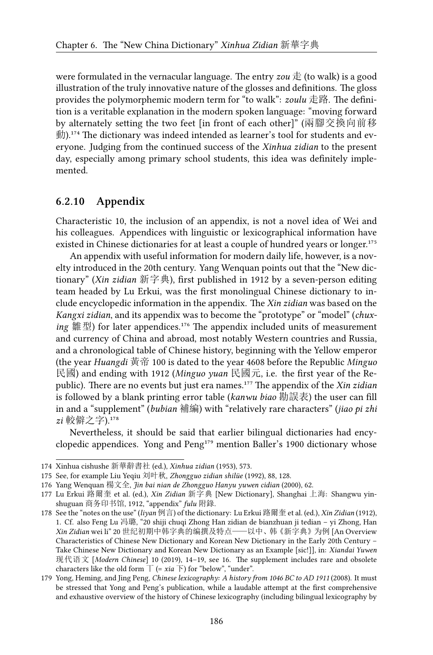were formulated in the vernacular language. The entry *zou* 走 (to walk) is a good illustration of the truly innovative nature of the glosses and definitions. The gloss provides the polymorphemic modern term for "to walk": *zoulu* 走路. The definition is a veritable explanation in the modern spoken language: "moving forward by alternately setting the two feet [in front of each other]" (兩腳交換向前移  $\hat{\mathbb{E}}$ ).<sup>174</sup> The dictionary was indeed intended as learner's tool for students and everyone. Judging from the continued success of the *Xinhua zidian* to the present day, especially among primary school students, this idea was definitely implemented.

#### **6.2.10 Appendix**

Characteristic 10, the inclusion of an appendix, is not a novel idea of Wei and his colleagues. Appendices with linguistic or lexicographical information have existed in Chinese dictionaries for at least a couple of hundred years or longer.<sup>175</sup>

An appendix with useful information for modern daily life, however, is a novelty introduced in the 20th century. Yang Wenquan points out that the "New dictionary" (*Xin zidian* 新字典), first published in 1912 by a seven-person editing team headed by Lu Erkui, was the first monolingual Chinese dictionary to include encyclopedic information in the appendix. The *Xin zidian* was based on the *Kangxi zidian*, and its appendix was to become the "prototype" or "model" (*chuxing* 雛型) for later appendices.<sup>176</sup> The appendix included units of measurement and currency of China and abroad, most notably Western countries and Russia, and a chronological table of Chinese history, beginning with the Yellow emperor (the year *Huangdi* 黃帝 100 is dated to the year 4608 before the Republic *Minguo* 民國) and ending with 1912 (*Minguo yuan* 民國元, i.e. the first year of the Republic). There are no events but just era names.<sup>177</sup> The appendix of the *Xin zidian* is followed by a blank printing error table (*kanwu biao* 勘誤表) the user can fill in and a "supplement" (*bubian* 補編) with "relatively rare characters" (*jiao pi zhi*  $zi$ 較僻之字).<sup>178</sup>

Nevertheless, it should be said that earlier bilingual dictionaries had encyclopedic appendices. Yong and  $Peng<sup>179</sup>$  mention Baller's 1900 dictionary whose

<sup>174</sup> Xinhua cishushe 新華辭書社 (ed.), *Xinhua zidian* (1953), 573.

<sup>175</sup> See, for example Liu Yeqiu 刘叶秋, *Zhongguo zidian shilüe* (1992), 88, 128.

<sup>176</sup> Yang Wenquan 楊文全, *Jin bai nian de Zhongguo Hanyu yuwen cidian* (2000), 62.

<sup>177</sup> Lu Erkui 路爾奎 et al. (ed.), *Xin Zidian* 新字典 [New Dictionary], Shanghai 上海: Shangwu yinshuguan 商务印书馆, 1912, "appendix" *fulu* 附錄.

<sup>178</sup> See the "notes on the use" (*liyan* 例言) of the dictionary: Lu Erkui 路爾奎 et al. (ed.), *Xin Zidian* (1912), 1. Cf. also Feng Lu 冯璐, "20 shiji chuqi Zhong Han zidian de bianzhuan ji tedian – yi Zhong, Han *Xin Zidian* wei li" 20 世纪初期中韩字典的编撰及特点——以中、韩《新字典》为例 [An Overview Characteristics of Chinese New Dictionary and Korean New Dictionary in the Early 20th Century – Take Chinese New Dictionary and Korean New Dictionary as an Example [sic!]], in: *Xiandai Yuwen* 现代语文 [*Modern Chinese*] 10 (2019), 14–19, see 16. The supplement includes rare and obsolete characters like the old form  $\top$  (= *xia*  $\top$ ) for "below", "under".

<sup>179</sup> Yong, Heming, and Jing Peng, *Chinese lexicography: A history from 1046 BC to AD 1911* (2008). It must be stressed that Yong and Peng's publication, while a laudable attempt at the first comprehensive and exhaustive overview of the history of Chinese lexicography (including bilingual lexicography by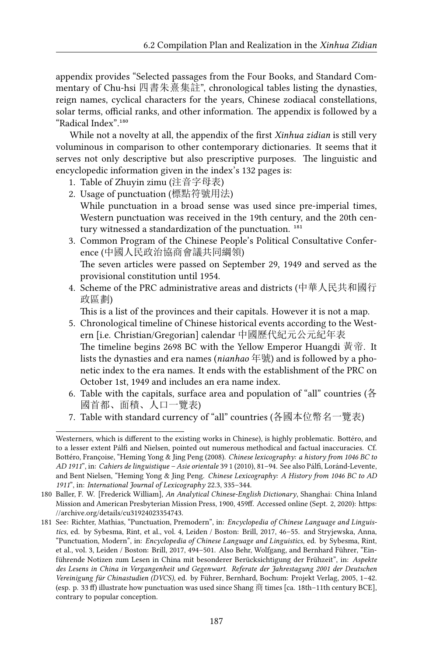appendix provides "Selected passages from the Four Books, and Standard Commentary of Chu-hsi 四書朱熹集註", chronological tables listing the dynasties, reign names, cyclical characters for the years, Chinese zodiacal constellations, solar terms, official ranks, and other information. The appendix is followed by a "Radical Index".<sup>180</sup>

While not a novelty at all, the appendix of the first *Xinhua zidian* is still very voluminous in comparison to other contemporary dictionaries. It seems that it serves not only descriptive but also prescriptive purposes. The linguistic and encyclopedic information given in the index's 132 pages is:

- 1. Table of Zhuyin zimu (注音字母表)
- 2. Usage of punctuation (標點符號用法) While punctuation in a broad sense was used since pre-imperial times, Western punctuation was received in the 19th century, and the 20th century witnessed a standardization of the punctuation.<sup>181</sup>
- 3. Common Program of the Chinese People's Political Consultative Conference (中國人民政治協商會議共同綱領) The seven articles were passed on September 29, 1949 and served as the

provisional constitution until 1954.

4. Scheme of the PRC administrative areas and districts (中華人民共和國行 政區劃)

This is a list of the provinces and their capitals. However it is not a map.

- 5. Chronological timeline of Chinese historical events according to the Western [i.e. Christian/Gregorian] calendar 中國歷代紀元公元紀年表 The timeline begins 2698 BC with the Yellow Emperor Huangdi 黃帝. It lists the dynasties and era names (*nianhao* 年號) and is followed by a phonetic index to the era names. It ends with the establishment of the PRC on October 1st, 1949 and includes an era name index.
- 6. Table with the capitals, surface area and population of "all" countries (各 國首都、面積、人口一覽表)
- 7. Table with standard currency of "all" countries (各國本位幣名一覽表)

Westerners, which is different to the existing works in Chinese), is highly problematic. Bottéro, and to a lesser extent Pálfi and Nielsen, pointed out numerous methodical and factual inaccuracies. Cf. Bottéro, Françoise, "Heming Yong & Jing Peng (2008). *Chinese lexicography: a history from 1046 BC to AD 1911*", in: *Cahiers de linguistique – Asie orientale* 39 1 (2010), 81–94. See also Pálfi, Loránd-Levente, and Bent Nielsen, "Heming Yong & Jing Peng. *Chinese Lexicography: A History from 1046 BC to AD 1911*", in: *International Journal of Lexicography* 22.3, 335–344.

<sup>180</sup> Baller, F. W. [Frederick William], *An Analytical Chinese-English Dictionary*, Shanghai: China Inland Mission and American Presbyterian Mission Press, 1900, 459ff. Accessed online (Sept. 2, 2020): [https:](https://archive.org/details/cu31924023354743) [//archive.org/details/cu31924023354743](https://archive.org/details/cu31924023354743).

<sup>181</sup> See: Richter, Mathias, "Punctuation, Premodern", in: *Encyclopedia of Chinese Language and Linguistics*, ed. by Sybesma, Rint, et al., vol. 4, Leiden / Boston: Brill, 2017, 46–55. and Stryjewska, Anna, "Punctuation, Modern", in: *Encyclopedia of Chinese Language and Linguistics*, ed. by Sybesma, Rint, et al., vol. 3, Leiden / Boston: Brill, 2017, 494–501. Also Behr, Wolfgang, and Bernhard Führer, "Einführende Notizen zum Lesen in China mit besonderer Berücksichtigung der Frühzeit", in: *Aspekte des Lesens in China in Vergangenheit und Gegenwart. Referate der Jahrestagung 2001 der Deutschen Vereinigung für Chinastudien (DVCS)*, ed. by Führer, Bernhard, Bochum: Projekt Verlag, 2005, 1–42. (esp. p. 33 ff) illustrate how punctuation was used since Shang 商 times [ca. 18th–11th century BCE], contrary to popular conception.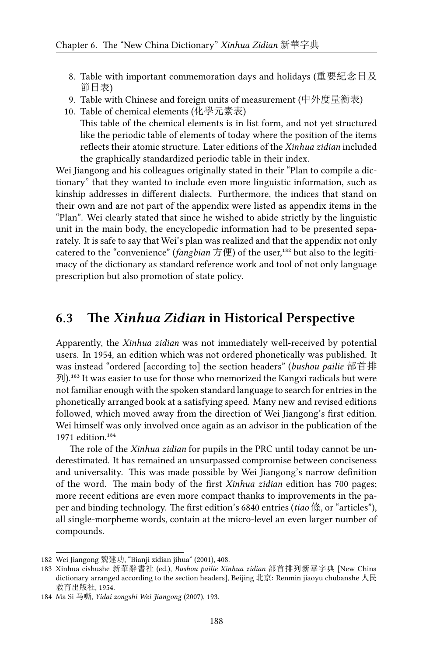- 8. Table with important commemoration days and holidays (重要紀念日及 節日表)
- 9. Table with Chinese and foreign units of measurement (中外度量衡表)
- 10. Table of chemical elements (化學元素表)

This table of the chemical elements is in list form, and not yet structured like the periodic table of elements of today where the position of the items reflects their atomic structure. Later editions of the *Xinhua zidian* included the graphically standardized periodic table in their index.

Wei Jiangong and his colleagues originally stated in their "Plan to compile a dictionary" that they wanted to include even more linguistic information, such as kinship addresses in different dialects. Furthermore, the indices that stand on their own and are not part of the appendix were listed as appendix items in the "Plan". Wei clearly stated that since he wished to abide strictly by the linguistic unit in the main body, the encyclopedic information had to be presented separately. It is safe to say that Wei's plan was realized and that the appendix not only catered to the "convenience" (*fangbian* 方便) of the user,<sup>182</sup> but also to the legitimacy of the dictionary as standard reference work and tool of not only language prescription but also promotion of state policy.

# **6.3 The** *Xinhua Zidian* **in Historical Perspective**

Apparently, the *Xinhua zidian* was not immediately well-received by potential users. In 1954, an edition which was not ordered phonetically was published. It was instead "ordered [according to] the section headers" (*bushou pailie* 部首排 列).<sup>183</sup> It was easier to use for those who memorized the Kangxi radicals but were not familiar enough with the spoken standard language to search for entries in the phonetically arranged book at a satisfying speed. Many new and revised editions followed, which moved away from the direction of Wei Jiangong's first edition. Wei himself was only involved once again as an advisor in the publication of the 1971 edition.<sup>184</sup>

The role of the *Xinhua zidian* for pupils in the PRC until today cannot be underestimated. It has remained an unsurpassed compromise between conciseness and universality. This was made possible by Wei Jiangong's narrow definition of the word. The main body of the first *Xinhua zidian* edition has 700 pages; more recent editions are even more compact thanks to improvements in the paper and binding technology. The first edition's 6840 entries (*tiao* 條, or "articles"), all single-morpheme words, contain at the micro-level an even larger number of compounds.

<sup>182</sup> Wei Jiangong 魏建功, "Bianji zidian jihua" (2001), 408.

<sup>183</sup> Xinhua cishushe 新華辭書社 (ed.), *Bushou pailie Xinhua zidian* 部首排列新華字典 [New China dictionary arranged according to the section headers], Beijing 北京: Renmin jiaoyu chubanshe 人民 教育出版社, 1954.

<sup>184</sup> Ma Si 马嘶, *Yidai zongshi Wei Jiangong* (2007), 193.